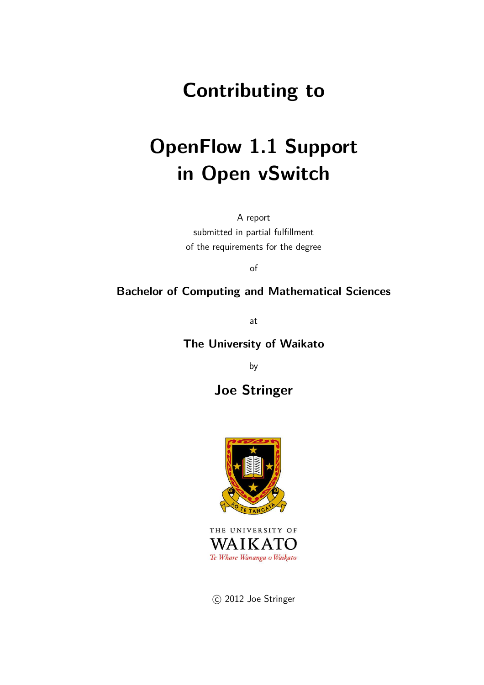## **Contributing to**

# **OpenFlow 1.1 Support in Open vSwitch**

A report

submitted in partial fulfillment of the requirements for the degree

of

#### **Bachelor of Computing and Mathematical Sciences**

at

#### **The University of Waikato**

by

### **Joe Stringer**



THE UNIVERSITY OF WAIKATO Te Whare Wānanga o Waikato

C 2012 Joe Stringer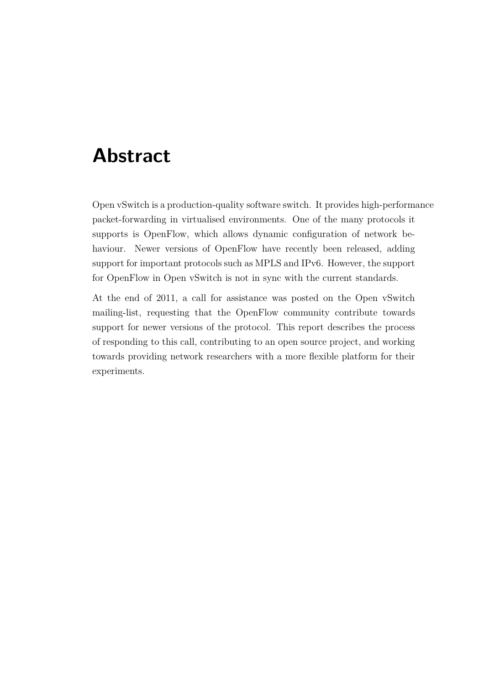## **Abstract**

Open vSwitch is a production-quality software switch. It provides high-performance packet-forwarding in virtualised environments. One of the many protocols it supports is OpenFlow, which allows dynamic configuration of network behaviour. Newer versions of OpenFlow have recently been released, adding support for important protocols such as MPLS and IPv6. However, the support for OpenFlow in Open vSwitch is not in sync with the current standards.

At the end of 2011, a call for assistance was posted on the Open vSwitch mailing-list, requesting that the OpenFlow community contribute towards support for newer versions of the protocol. This report describes the process of responding to this call, contributing to an open source project, and working towards providing network researchers with a more flexible platform for their experiments.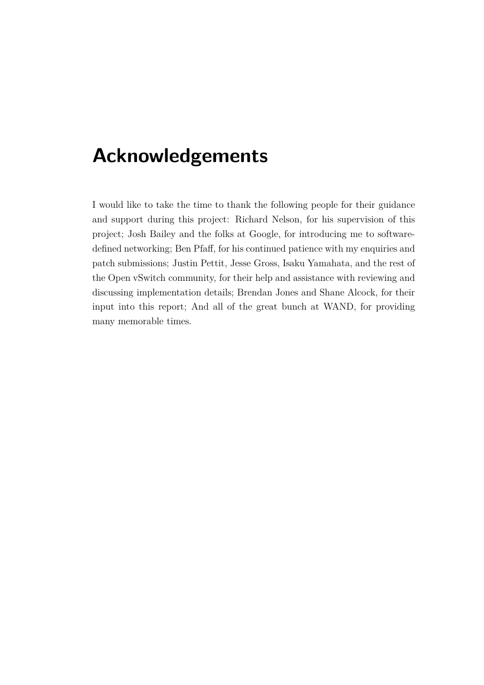## **Acknowledgements**

I would like to take the time to thank the following people for their guidance and support during this project: Richard Nelson, for his supervision of this project; Josh Bailey and the folks at Google, for introducing me to softwaredefined networking; Ben Pfaff, for his continued patience with my enquiries and patch submissions; Justin Pettit, Jesse Gross, Isaku Yamahata, and the rest of the Open vSwitch community, for their help and assistance with reviewing and discussing implementation details; Brendan Jones and Shane Alcock, for their input into this report; And all of the great bunch at WAND, for providing many memorable times.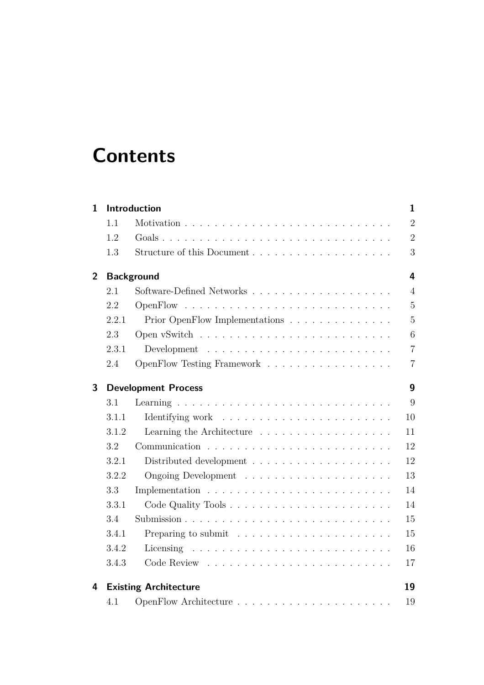## **Contents**

| 1              |       | Introduction                                                           | $\mathbf{1}$            |
|----------------|-------|------------------------------------------------------------------------|-------------------------|
|                | 1.1   |                                                                        | $\overline{2}$          |
|                | 1.2   |                                                                        | $\overline{2}$          |
|                | 1.3   |                                                                        | 3                       |
| $\overline{2}$ |       | <b>Background</b>                                                      | $\overline{\mathbf{4}}$ |
|                | 2.1   |                                                                        | $\overline{4}$          |
|                | 2.2   |                                                                        | $\overline{5}$          |
|                | 2.2.1 | Prior OpenFlow Implementations                                         | $\overline{5}$          |
|                | 2.3   |                                                                        | 6                       |
|                | 2.3.1 |                                                                        | $\overline{7}$          |
|                | 2.4   | OpenFlow Testing Framework                                             | $\overline{7}$          |
| 3              |       | <b>Development Process</b>                                             | 9                       |
|                | 3.1   |                                                                        | 9                       |
|                | 3.1.1 |                                                                        | 10                      |
|                | 3.1.2 | Learning the Architecture                                              | 11                      |
|                | 3.2   |                                                                        | 12                      |
|                | 3.2.1 |                                                                        | 12                      |
|                | 3.2.2 |                                                                        | 13                      |
|                | 3.3   |                                                                        | 14                      |
|                | 3.3.1 |                                                                        | 14                      |
|                | 3.4   |                                                                        | 15                      |
|                | 3.4.1 | Preparing to submit $\ldots \ldots \ldots \ldots \ldots \ldots \ldots$ | 15                      |
|                | 3.4.2 |                                                                        | 16                      |
|                | 3.4.3 |                                                                        | 17                      |
| 4              |       | <b>Existing Architecture</b>                                           | 19                      |
|                | 4.1   |                                                                        | 19                      |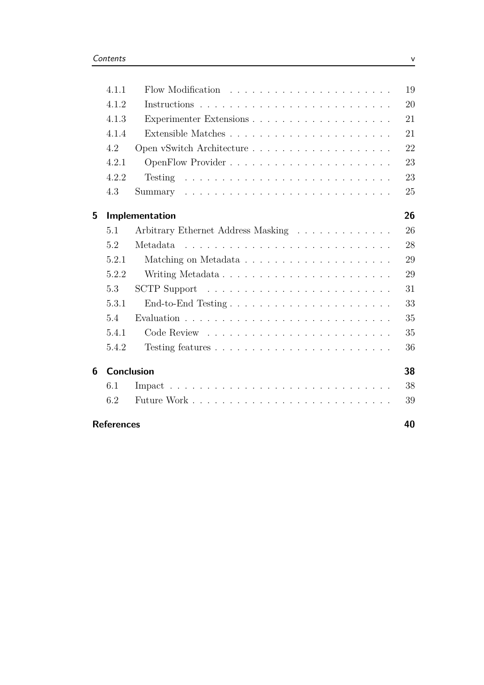| 4.1.1 |                                                                                                                                                                                                                                                  | 19                                                       |
|-------|--------------------------------------------------------------------------------------------------------------------------------------------------------------------------------------------------------------------------------------------------|----------------------------------------------------------|
| 4.1.2 |                                                                                                                                                                                                                                                  | 20                                                       |
| 4.1.3 |                                                                                                                                                                                                                                                  | 21                                                       |
| 4.1.4 |                                                                                                                                                                                                                                                  | 21                                                       |
| 4.2   |                                                                                                                                                                                                                                                  | 22                                                       |
| 4.2.1 |                                                                                                                                                                                                                                                  | 23                                                       |
| 4.2.2 |                                                                                                                                                                                                                                                  | 23                                                       |
| 4.3   |                                                                                                                                                                                                                                                  | 25                                                       |
|       |                                                                                                                                                                                                                                                  | 26                                                       |
| 5.1   | Arbitrary Ethernet Address Masking                                                                                                                                                                                                               | 26                                                       |
| 5.2   | Metadata<br><u>. A serie a la caractería de la caractería de la caractería de la caractería de la caractería de la caractería de la caractería de la caractería de la caractería de la caractería de la caractería de la caractería de la ca</u> | 28                                                       |
| 5.2.1 |                                                                                                                                                                                                                                                  | 29                                                       |
| 5.2.2 |                                                                                                                                                                                                                                                  | 29                                                       |
| 5.3   | SCTP Support $\ldots \ldots \ldots \ldots \ldots \ldots \ldots \ldots \ldots$                                                                                                                                                                    | 31                                                       |
| 5.3.1 |                                                                                                                                                                                                                                                  | 33                                                       |
| 5.4   |                                                                                                                                                                                                                                                  | 35                                                       |
| 5.4.1 |                                                                                                                                                                                                                                                  | 35                                                       |
| 5.4.2 |                                                                                                                                                                                                                                                  | 36                                                       |
|       |                                                                                                                                                                                                                                                  | 38                                                       |
| 6.1   |                                                                                                                                                                                                                                                  | 38                                                       |
| 6.2   |                                                                                                                                                                                                                                                  | 39                                                       |
|       |                                                                                                                                                                                                                                                  | 40                                                       |
|       |                                                                                                                                                                                                                                                  | Implementation<br><b>Conclusion</b><br><b>References</b> |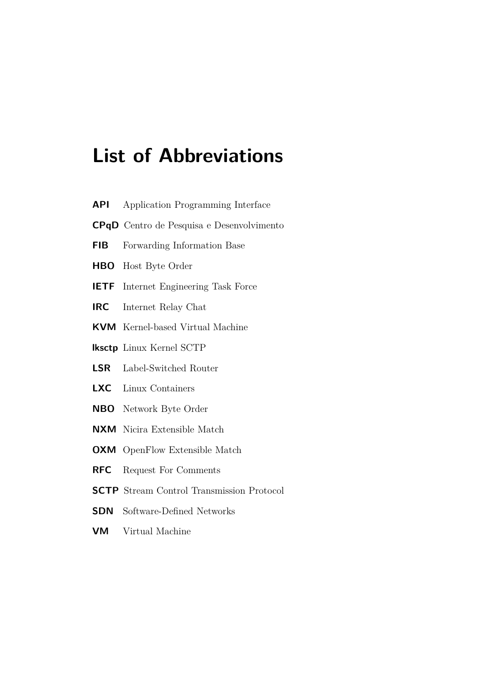## **List of Abbreviations**

- <span id="page-5-4"></span>**API** Application Programming Interface
- <span id="page-5-5"></span>**CPqD** Centro de Pesquisa e Desenvolvimento
- <span id="page-5-3"></span>**FIB** Forwarding Information Base
- <span id="page-5-10"></span>**HBO** Host Byte Order
- <span id="page-5-6"></span>**IETF** Internet Engineering Task Force
- <span id="page-5-8"></span>**IRC** Internet Relay Chat
- <span id="page-5-16"></span>**KVM** Kernel-based Virtual Machine
- <span id="page-5-14"></span>**lksctp** Linux Kernel SCTP
- <span id="page-5-1"></span>**LSR** Label-Switched Router
- <span id="page-5-15"></span>**LXC** Linux Containers
- <span id="page-5-9"></span>**NBO** Network Byte Order
- <span id="page-5-11"></span>**NXM** Nicira Extensible Match
- <span id="page-5-12"></span>**OXM** OpenFlow Extensible Match
- <span id="page-5-7"></span>**RFC** Request For Comments
- <span id="page-5-0"></span>**SCTP** Stream Control Transmission Protocol
- <span id="page-5-2"></span>**SDN** Software-Defined Networks
- <span id="page-5-13"></span>**VM** Virtual Machine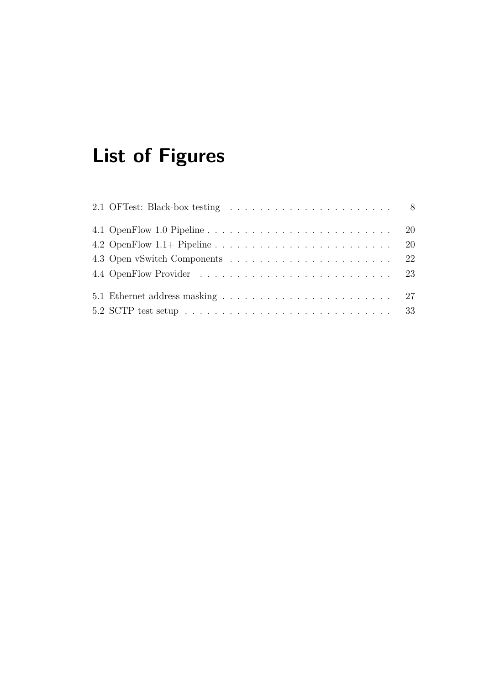# **List of Figures**

|                                                                                                | -20 |
|------------------------------------------------------------------------------------------------|-----|
|                                                                                                |     |
|                                                                                                |     |
|                                                                                                |     |
| 5.2 SCTP test setup $\ldots \ldots \ldots \ldots \ldots \ldots \ldots \ldots \ldots \ldots 33$ |     |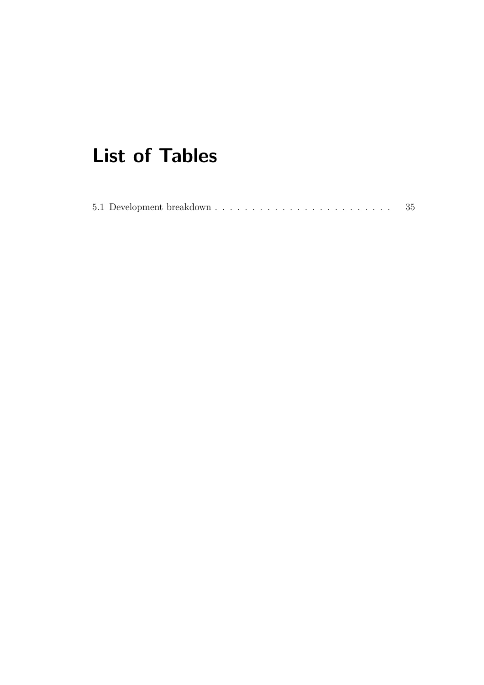## **List of Tables**

|  |  |  |  |  |  |  |  |  |  |  |  |  |  |  |  |  |  |  |  |  |  |  |  |  |  |  |  | -35 |  |
|--|--|--|--|--|--|--|--|--|--|--|--|--|--|--|--|--|--|--|--|--|--|--|--|--|--|--|--|-----|--|
|--|--|--|--|--|--|--|--|--|--|--|--|--|--|--|--|--|--|--|--|--|--|--|--|--|--|--|--|-----|--|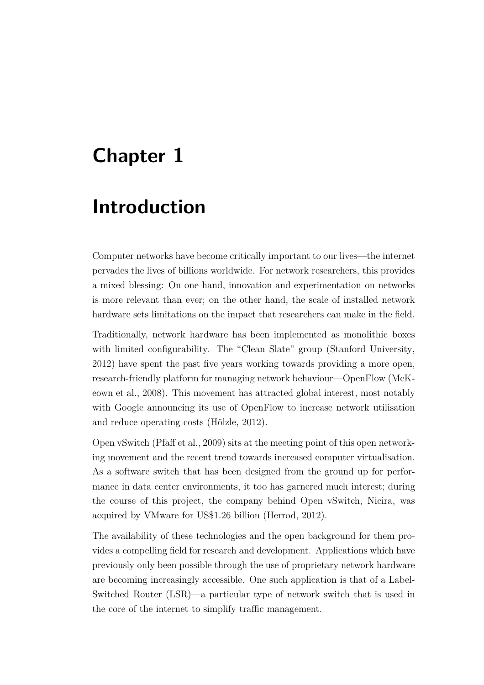## <span id="page-8-0"></span>**Chapter 1**

## **Introduction**

Computer networks have become critically important to our lives—the internet pervades the lives of billions worldwide. For network researchers, this provides a mixed blessing: On one hand, innovation and experimentation on networks is more relevant than ever; on the other hand, the scale of installed network hardware sets limitations on the impact that researchers can make in the field.

Traditionally, network hardware has been implemented as monolithic boxes with limited configurability. The "Clean Slate" group [\(Stanford University,](#page-49-0) [2012\)](#page-49-0) have spent the past five years working towards providing a more open, research-fr[iendly platform for managing network behaviour—OpenFlow \(](#page-48-0)McKeown et al., [2008\)](#page-48-0). This movement has attracted global interest, most notably with Google announcing its use of OpenFlow to increase network utilisation and reduce operating costs (Hölzle, [2012](#page-48-1)).

Open vSwitch [\(Pfaff et al.](#page-49-1), [2009\)](#page-49-1) sits at the meeting point of this open networking movement and the recent trend towards increased computer virtualisation. As a software switch that has been designed from the ground up for performance in data center environments, it too has garnered much interest; during the course of this project, the company behind Open vSwitch, Nicira, was acquired by VMware for US\$1.26 billion [\(Herrod, 2012](#page-48-2)).

The availability of these technologies and the open background for them provides a compelling field for research and development. Applications which have previously only been possible through the use of proprietary network hardware are becoming increasingly accessible. One such application is that of a Label-Switched Router [\(LSR\)](#page-5-1)—a particular type of network switch that is used in the core of the internet to simplify traffic management.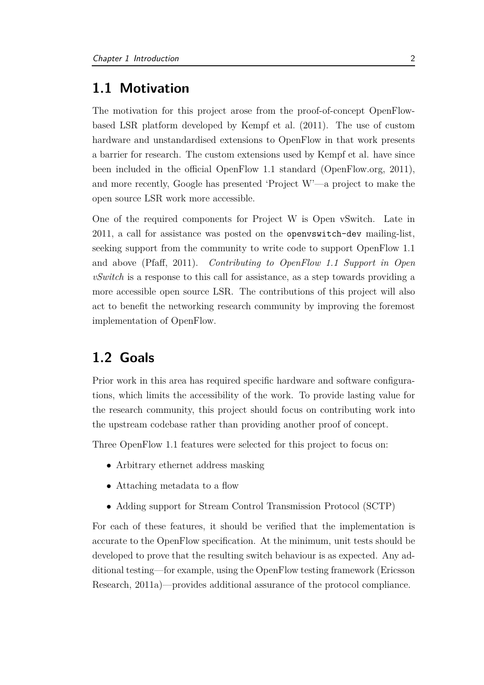### <span id="page-9-0"></span>**1.1 Motivation**

The motivation for this project arose from the proof-of-concept OpenFlowbased [LSR](#page-5-1) platform developed by [Kempf et al.](#page-48-3) [\(2011](#page-48-3)). The use of custom hardware and unstandardised extensions to OpenFlow in that work presents a barrier for research. The custom extensions used by [Kempf et al.](#page-48-3) have since been included in the official OpenFlow 1.1 standard [\(OpenFlow.org, 2011\)](#page-49-2), and more recently, Google has presented 'Project W'—a project to make the open source [LSR](#page-5-1) work more accessible.

One of the required components for Project W is Open vSwitch. Late in 2011, a call for assistance was posted on the openvswitch-dev mailing-list, seeking support from the community to write code to support OpenFlow 1.1 and above [\(Pfaff, 2011\)](#page-49-3). *Contributing to OpenFlow 1.1 Support in Open vSwitch* is a response to this call for assistance, as a step towards providing a more accessible open source [LSR.](#page-5-1) The contributions of this project will also act to benefit the networking research community by improving the foremost implementation of OpenFlow.

### <span id="page-9-1"></span>**1.2 Goals**

Prior work in this area has required specific hardware and software configurations, which limits the accessibility of the work. To provide lasting value for the research community, this project should focus on contributing work into the upstream codebase rather than providing another proof of concept.

Three OpenFlow 1.1 features were selected for this project to focus on:

- Arbitrary ethernet address masking
- Attaching metadata to a flow
- Adding support for Stream Control Transmission Protocol [\(SCTP\)](#page-5-0)

For each of these features, it should be verified that the implementation is accurate to the OpenFlow specification. At the minimum, unit tests should be developed to prove that the resulting switch behaviour is as expected. Any additional [testing—for example, using the OpenFlow testing framework \(](#page-47-1)Ericsson Research, [2011a](#page-47-1))—provides additional assurance of the protocol compliance.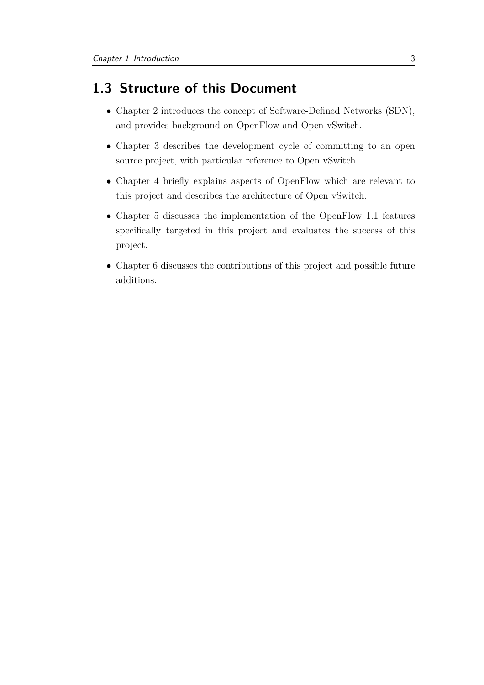## <span id="page-10-0"></span>**1.3 Structure of this Document**

- Chapter [2](#page-11-0) introduces the concept of Software-Defined Networks [\(SDN\)](#page-5-2), and provides background on OpenFlow and Open vSwitch.
- Chapter [3](#page-16-0) describes the development cycle of committing to an open source project, with particular reference to Open vSwitch.
- Chapter [4](#page-26-0) briefly explains aspects of OpenFlow which are relevant to this project and describes the architecture of Open vSwitch.
- Chapter [5](#page-33-0) discusses the implementation of the OpenFlow 1.1 features specifically targeted in this project and evaluates the success of this project.
- Chapter [6](#page-45-0) discusses the contributions of this project and possible future additions.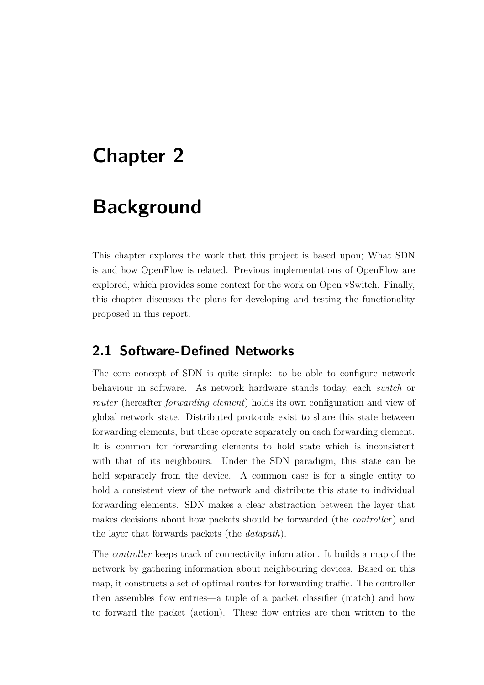## <span id="page-11-0"></span>**Chapter 2**

## **Background**

This chapter explores the work that this project is based upon; What [SDN](#page-5-2) is and how OpenFlow is related. Previous implementations of OpenFlow are explored, which provides some context for the work on Open vSwitch. Finally, this chapter discusses the plans for developing and testing the functionality proposed in this report.

### <span id="page-11-1"></span>**2.1 Software-Defined Networks**

The core concept of [SDN](#page-5-2) is quite simple: to be able to configure network behaviour in software. As network hardware stands today, each *switch* or *router* (hereafter *forwarding element*) holds its own configuration and view of global network state. Distributed protocols exist to share this state between forwarding elements, but these operate separately on each forwarding element. It is common for forwarding elements to hold state which is inconsistent with that of its neighbours. Under the [SDN](#page-5-2) paradigm, this state can be held separately from the device. A common case is for a single entity to hold a consistent view of the network and distribute this state to individual forwarding elements. SDN makes a clear abstraction between the layer that makes decisions about how packets should be forwarded (the *controller*) and the layer that forwards packets (the *datapath*).

The *controller* keeps track of connectivity information. It builds a map of the network by gathering information about neighbouring devices. Based on this map, it constructs a set of optimal routes for forwarding traffic. The controller then assembles flow entries—a tuple of a packet classifier (match) and how to forward the packet (action). These flow entries are then written to the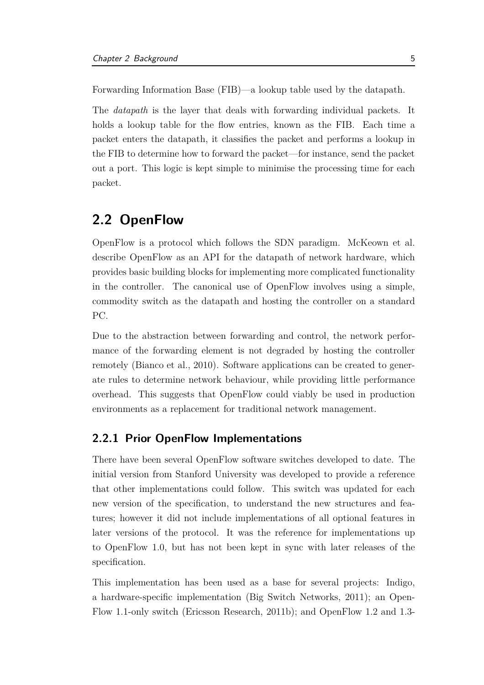Forwarding Information Base [\(FIB\)](#page-5-3)—a lookup table used by the datapath.

The *datapath* is the layer that deals with forwarding individual packets. It holds a lookup table for the flow entries, known as the [FIB.](#page-5-3) Each time a packet enters the datapath, it classifies the packet and performs a lookup in the [FIB](#page-5-3) to determine how to forward the packet—for instance, send the packet out a port. This logic is kept simple to minimise the processing time for each packet.

### <span id="page-12-0"></span>**2.2 OpenFlow**

OpenFlow is a protocol which follows the [SDN](#page-5-2) paradigm. [McKeown et al.](#page-48-0) describe OpenFlow as an [API](#page-5-4) for the datapath of network hardware, which provides basic building blocks for implementing more complicated functionality in the controller. The canonical use of OpenFlow involves using a simple, commodity switch as the datapath and hosting the controller on a standard PC.

Due to the abstraction between forwarding and control, the network performance of the forwarding element is not degraded by hosting the controller remotely [\(Bianco et al., 2010](#page-47-2)). Software applications can be created to generate rules to determine network behaviour, while providing little performance overhead. This suggests that OpenFlow could viably be used in production environments as a replacement for traditional network management.

#### <span id="page-12-1"></span>**2.2.1 Prior OpenFlow Implementations**

There have been several OpenFlow software switches developed to date. The initial version from [Stanford University](#page-49-0) was developed to provide a reference that other implementations could follow. This switch was updated for each new version of the specification, to understand the new structures and features; however it did not include implementations of all optional features in later versions of the protocol. It was the reference for implementations up to OpenFlow 1.0, but has not been kept in sync with later releases of the specification.

This implementation has been used as a base for several projects: Indigo, a hardware-specific implementation [\(Big Switch Networks, 2011\)](#page-47-3); an Open-Flow 1.1-only switch [\(Ericsson Research](#page-47-4), [2011b\)](#page-47-4); and OpenFlow 1.2 and 1.3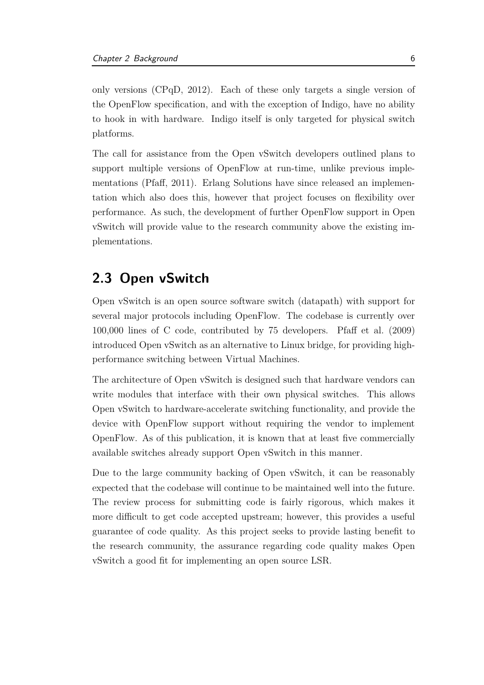only versions [\(CPqD,](#page-5-5) [2012](#page-47-5)). Each of these only targets a single version of the OpenFlow specification, and with the exception of Indigo, have no ability to hook in with hardware. Indigo itself is only targeted for physical switch platforms.

The call for assistance from the Open vSwitch developers outlined plans to support multiple versions of OpenFlow at run-time, unlike previous implementations [\(Pfaff, 2011](#page-49-3)). [Erlang Solutions](#page-48-4) have since released an implementation which also does this, however that project focuses on flexibility over performance. As such, the development of further OpenFlow support in Open vSwitch will provide value to the research community above the existing implementations.

### <span id="page-13-0"></span>**2.3 Open vSwitch**

Open vSwitch is an open source software switch (datapath) with support for several major protocols including OpenFlow. The codebase is currently over 100,000 lines of C code, contributed by 75 developers. [Pfaff et al. \(2009\)](#page-49-1) introduced Open vSwitch as an alternative to Linux bridge, for providing highperformance switching between Virtual Machines.

The architecture of Open vSwitch is designed such that hardware vendors can write modules that interface with their own physical switches. This allows Open vSwitch to hardware-accelerate switching functionality, and provide the device with OpenFlow support without requiring the vendor to implement OpenFlow. As of this publication, it is known that at least five commercially available switches already support Open vSwitch in this manner.

Due to the large community backing of Open vSwitch, it can be reasonably expected that the codebase will continue to be maintained well into the future. The review process for submitting code is fairly rigorous, which makes it more difficult to get code accepted upstream; however, this provides a useful guarantee of code quality. As this project seeks to provide lasting benefit to the research community, the assurance regarding code quality makes Open vSwitch a good fit for implementing an open source [LSR.](#page-5-1)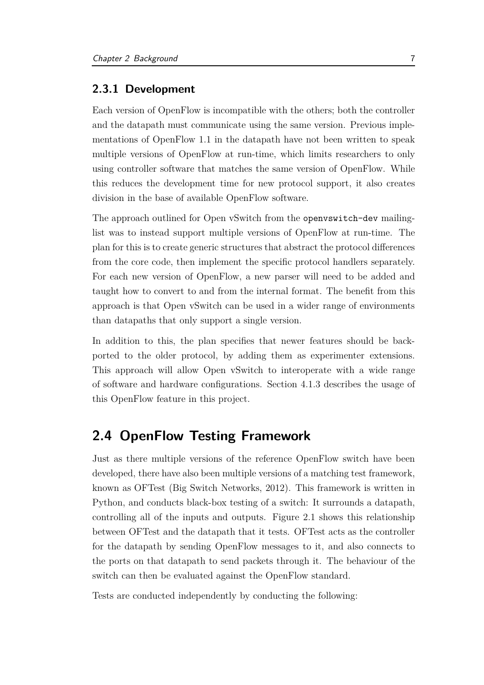#### <span id="page-14-0"></span>**2.3.1 Development**

Each version of OpenFlow is incompatible with the others; both the controller and the datapath must communicate using the same version. Previous implementations of OpenFlow 1.1 in the datapath have not been written to speak multiple versions of OpenFlow at run-time, which limits researchers to only using controller software that matches the same version of OpenFlow. While this reduces the development time for new protocol support, it also creates division in the base of available OpenFlow software.

The approach outlined for Open vSwitch from the openvswitch-dev mailinglist was to instead support multiple versions of OpenFlow at run-time. The plan for this is to create generic structures that abstract the protocol differences from the core code, then implement the specific protocol handlers separately. For each new version of OpenFlow, a new parser will need to be added and taught how to convert to and from the internal format. The benefit from this approach is that Open vSwitch can be used in a wider range of environments than datapaths that only support a single version.

In addition to this, the plan specifies that newer features should be backported to the older protocol, by adding them as experimenter extensions. This approach will allow Open vSwitch to interoperate with a wide range of software and hardware configurations. Section [4.1.3](#page-28-0) describes the usage of this OpenFlow feature in this project.

### <span id="page-14-1"></span>**2.4 OpenFlow Testing Framework**

Just as there multiple versions of the reference OpenFlow switch have been developed, there have also been multiple versions of a matching test framework, known as OFTest [\(Big Switch Networks, 2012\)](#page-47-6). This framework is written in Python, and conducts black-box testing of a switch: It surrounds a datapath, controlling all of the inputs and outputs. Figure [2.1](#page-15-0) shows this relationship between OFTest and the datapath that it tests. OFTest acts as the controller for the datapath by sending OpenFlow messages to it, and also connects to the ports on that datapath to send packets through it. The behaviour of the switch can then be evaluated against the OpenFlow standard.

Tests are conducted independently by conducting the following: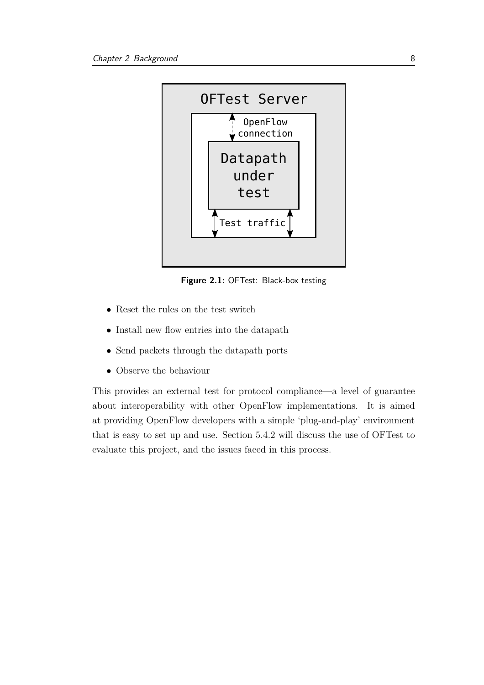<span id="page-15-0"></span>

**Figure 2.1:** OFTest: Black-box testing

- Reset the rules on the test switch
- Install new flow entries into the datapath
- Send packets through the datapath ports
- Observe the behaviour

This provides an external test for protocol compliance—a level of guarantee about interoperability with other OpenFlow implementations. It is aimed at providing OpenFlow developers with a simple 'plug-and-play' environment that is easy to set up and use. Section [5.4.2](#page-43-0) will discuss the use of OFTest to evaluate this project, and the issues faced in this process.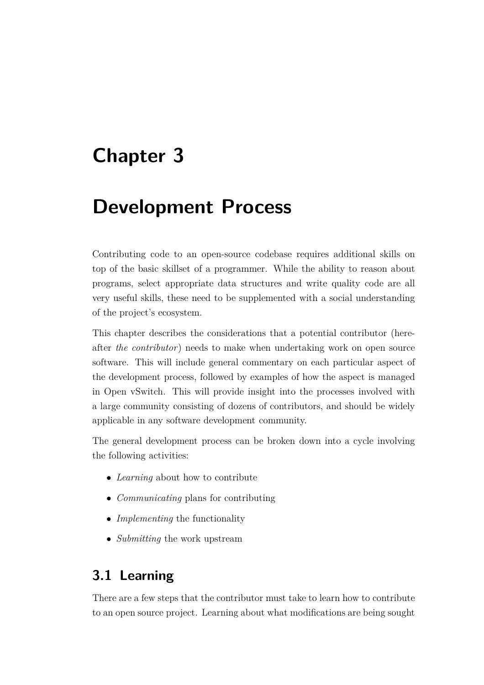## <span id="page-16-0"></span>**Chapter 3**

## **Development Process**

Contributing code to an open-source codebase requires additional skills on top of the basic skillset of a programmer. While the ability to reason about programs, select appropriate data structures and write quality code are all very useful skills, these need to be supplemented with a social understanding of the project's ecosystem.

This chapter describes the considerations that a potential contributor (hereafter *the contributor*) needs to make when undertaking work on open source software. This will include general commentary on each particular aspect of the development process, followed by examples of how the aspect is managed in Open vSwitch. This will provide insight into the processes involved with a large community consisting of dozens of contributors, and should be widely applicable in any software development community.

The general development process can be broken down into a cycle involving the following activities:

- *Learning* about how to contribute
- *Communicating* plans for contributing
- *Implementing* the functionality
- <span id="page-16-1"></span>• *Submitting* the work upstream

### **3.1 Learning**

There are a few steps that the contributor must take to learn how to contribute to an open source project. Learning about what modifications are being sought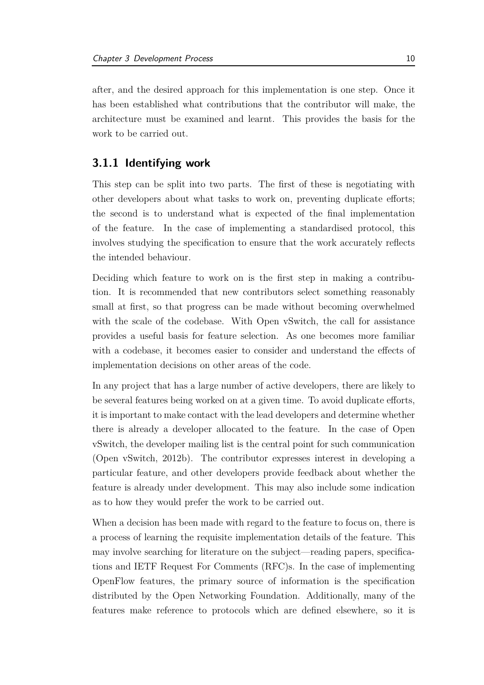after, and the desired approach for this implementation is one step. Once it has been established what contributions that the contributor will make, the architecture must be examined and learnt. This provides the basis for the work to be carried out.

#### <span id="page-17-0"></span>**3.1.1 Identifying work**

This step can be split into two parts. The first of these is negotiating with other developers about what tasks to work on, preventing duplicate efforts; the second is to understand what is expected of the final implementation of the feature. In the case of implementing a standardised protocol, this involves studying the specification to ensure that the work accurately reflects the intended behaviour.

Deciding which feature to work on is the first step in making a contribution. It is recommended that new contributors select something reasonably small at first, so that progress can be made without becoming overwhelmed with the scale of the codebase. With Open vSwitch, the call for assistance provides a useful basis for feature selection. As one becomes more familiar with a codebase, it becomes easier to consider and understand the effects of implementation decisions on other areas of the code.

In any project that has a large number of active developers, there are likely to be several features being worked on at a given time. To avoid duplicate efforts, it is important to make contact with the lead developers and determine whether there is already a developer allocated to the feature. In the case of Open vSwitch, the developer mailing list is the central point for such communication [\(Open vSwitch, 2012b\)](#page-48-5). The contributor expresses interest in developing a particular feature, and other developers provide feedback about whether the feature is already under development. This may also include some indication as to how they would prefer the work to be carried out.

When a decision has been made with regard to the feature to focus on, there is a process of learning the requisite implementation details of the feature. This may involve searching for literature on the subject—reading papers, specifications and [IETF](#page-5-6) Request For Comments [\(RFC\)](#page-5-7)s. In the case of implementing OpenFlow features, the primary source of information is the specification distributed by the Open Networking Foundation. Additionally, many of the features make reference to protocols which are defined elsewhere, so it is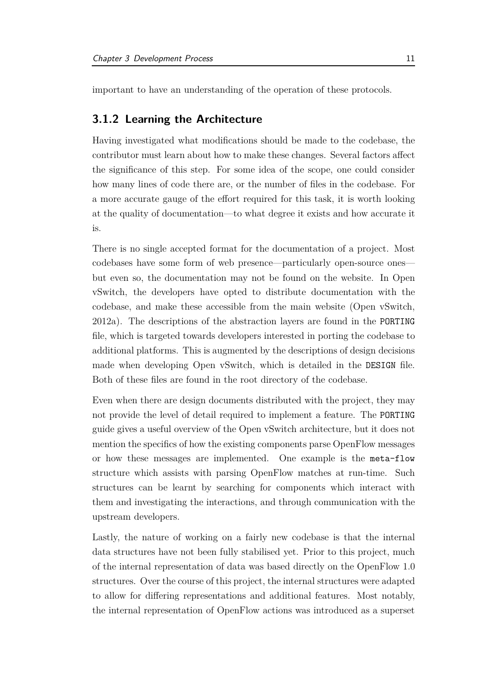<span id="page-18-0"></span>important to have an understanding of the operation of these protocols.

#### **3.1.2 Learning the Architecture**

Having investigated what modifications should be made to the codebase, the contributor must learn about how to make these changes. Several factors affect the significance of this step. For some idea of the scope, one could consider how many lines of code there are, or the number of files in the codebase. For a more accurate gauge of the effort required for this task, it is worth looking at the quality of documentation—to what degree it exists and how accurate it is.

There is no single accepted format for the documentation of a project. Most codebases have some form of web presence—particularly open-source ones but even so, the documentation may not be found on the website. In Open vSwitch, the developers have opted to distribute documentation with the codebase, and make these accessible from the main website [\(Open vSwitch,](#page-48-6) [2012a\)](#page-48-6). The descriptions of the abstraction layers are found in the PORTING file, which is targeted towards developers interested in porting the codebase to additional platforms. This is augmented by the descriptions of design decisions made when developing Open vSwitch, which is detailed in the DESIGN file. Both of these files are found in the root directory of the codebase.

Even when there are design documents distributed with the project, they may not provide the level of detail required to implement a feature. The PORTING guide gives a useful overview of the Open vSwitch architecture, but it does not mention the specifics of how the existing components parse OpenFlow messages or how these messages are implemented. One example is the meta-flow structure which assists with parsing OpenFlow matches at run-time. Such structures can be learnt by searching for components which interact with them and investigating the interactions, and through communication with the upstream developers.

Lastly, the nature of working on a fairly new codebase is that the internal data structures have not been fully stabilised yet. Prior to this project, much of the internal representation of data was based directly on the OpenFlow 1.0 structures. Over the course of this project, the internal structures were adapted to allow for differing representations and additional features. Most notably, the internal representation of OpenFlow actions was introduced as a superset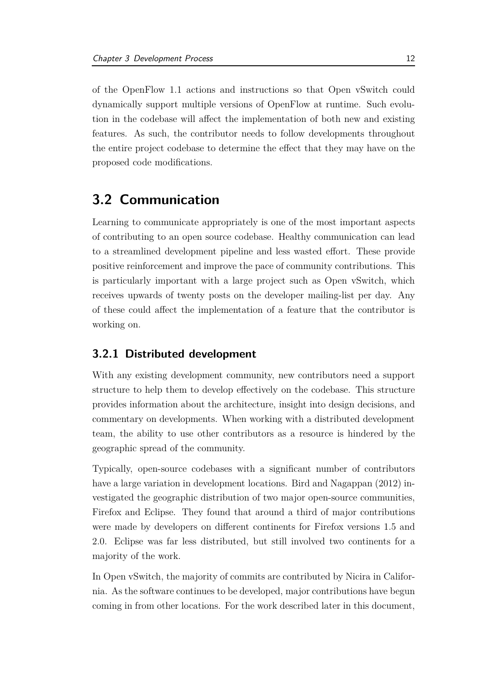of the OpenFlow 1.1 actions and instructions so that Open vSwitch could dynamically support multiple versions of OpenFlow at runtime. Such evolution in the codebase will affect the implementation of both new and existing features. As such, the contributor needs to follow developments throughout the entire project codebase to determine the effect that they may have on the proposed code modifications.

### <span id="page-19-0"></span>**3.2 Communication**

Learning to communicate appropriately is one of the most important aspects of contributing to an open source codebase. Healthy communication can lead to a streamlined development pipeline and less wasted effort. These provide positive reinforcement and improve the pace of community contributions. This is particularly important with a large project such as Open vSwitch, which receives upwards of twenty posts on the developer mailing-list per day. Any of these could affect the implementation of a feature that the contributor is working on.

#### <span id="page-19-1"></span>**3.2.1 Distributed development**

With any existing development community, new contributors need a support structure to help them to develop effectively on the codebase. This structure provides information about the architecture, insight into design decisions, and commentary on developments. When working with a distributed development team, the ability to use other contributors as a resource is hindered by the geographic spread of the community.

Typically, open-source codebases with a significant number of contributors have a large variation in development locations. [Bird and Nagappan \(2012](#page-47-7)) investigated the geographic distribution of two major open-source communities, Firefox and Eclipse. They found that around a third of major contributions were made by developers on different continents for Firefox versions 1.5 and 2.0. Eclipse was far less distributed, but still involved two continents for a majority of the work.

In Open vSwitch, the majority of commits are contributed by Nicira in California. As the software continues to be developed, major contributions have begun coming in from other locations. For the work described later in this document,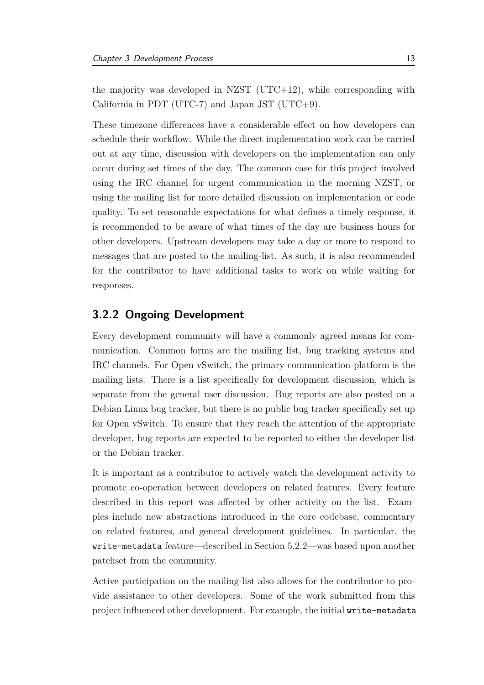the majority was developed in NZST  $(UTC+12)$ , while corresponding with California in PDT (UTC-7) and Japan JST (UTC+9).

These timezone differences have a considerable effect on how developers can schedule their workflow. While the direct implementation work can be carried out at any time, discussion with developers on the implementation can only occur during set times of the day. The common case for this project involved using the [IRC](#page-5-8) channel for urgent communication in the morning NZST, or using the mailing list for more detailed discussion on implementation or code quality. To set reasonable expectations for what defines a timely response, it is recommended to be aware of what times of the day are business hours for other developers. Upstream developers may take a day or more to respond to messages that are posted to the mailing-list. As such, it is also recommended for the contributor to have additional tasks to work on while waiting for responses.

#### <span id="page-20-0"></span>**3.2.2 Ongoing Development**

Every development community will have a commonly agreed means for communication. Common forms are the mailing list, bug tracking systems and [IRC](#page-5-8) channels. For Open vSwitch, the primary communication platform is the mailing lists. There is a list specifically for development discussion, which is separate from the general user discussion. Bug reports are also posted on a Debian Linux bug tracker, but there is no public bug tracker specifically set up for Open vSwitch. To ensure that they reach the attention of the appropriate developer, bug reports are expected to be reported to either the developer list or the Debian tracker.

It is important as a contributor to actively watch the development activity to promote co-operation between developers on related features. Every feature described in this report was affected by other activity on the list. Examples include new abstractions introduced in the core codebase, commentary on related features, and general development guidelines. In particular, the write-metadata feature—described in Section [5.2.2—](#page-36-1)was based upon another patchset from the community.

Active participation on the mailing-list also allows for the contributor to provide assistance to other developers. Some of the work submitted from this project influenced other development. For example, the initial write-metadata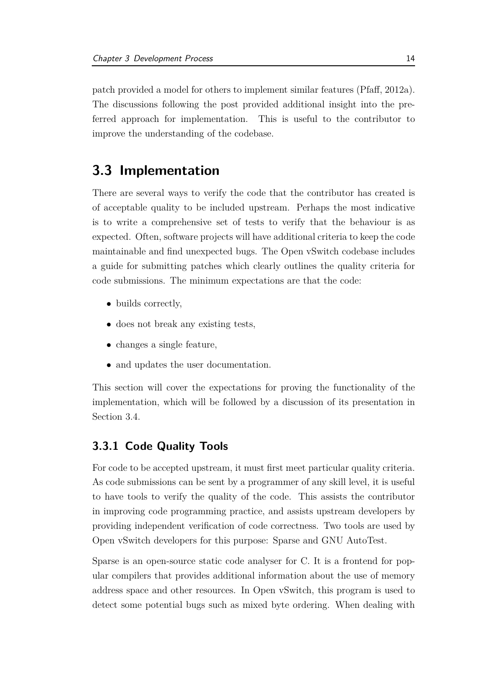patch provided a model for others to implement similar features [\(Pfaff, 2012a\)](#page-49-4). The discussions following the post provided additional insight into the preferred approach for implementation. This is useful to the contributor to improve the understanding of the codebase.

### <span id="page-21-0"></span>**3.3 Implementation**

There are several ways to verify the code that the contributor has created is of acceptable quality to be included upstream. Perhaps the most indicative is to write a comprehensive set of tests to verify that the behaviour is as expected. Often, software projects will have additional criteria to keep the code maintainable and find unexpected bugs. The Open vSwitch codebase includes a guide for submitting patches which clearly outlines the quality criteria for code submissions. The minimum expectations are that the code:

- builds correctly,
- does not break any existing tests,
- changes a single feature,
- and updates the user documentation.

This section will cover the expectations for proving the functionality of the implementation, which will be followed by a discussion of its presentation in Section [3.4.](#page-22-0)

#### <span id="page-21-1"></span>**3.3.1 Code Quality Tools**

For code to be accepted upstream, it must first meet particular quality criteria. As code submissions can be sent by a programmer of any skill level, it is useful to have tools to verify the quality of the code. This assists the contributor in improving code programming practice, and assists upstream developers by providing independent verification of code correctness. Two tools are used by Open vSwitch developers for this purpose: Sparse and GNU AutoTest.

Sparse is an open-source static code analyser for C. It is a frontend for popular compilers that provides additional information about the use of memory address space and other resources. In Open vSwitch, this program is used to detect some potential bugs such as mixed byte ordering. When dealing with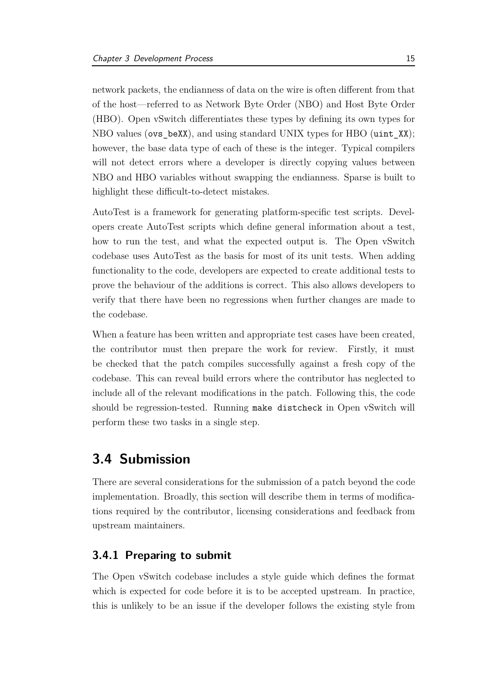network packets, the endianness of data on the wire is often different from that of the host—referred to as Network Byte Order [\(NBO\)](#page-5-9) and Host Byte Order [\(HBO\)](#page-5-10). Open vSwitch differentiates these types by defining its own types for [NBO](#page-5-9) values (ovs beXX), and using standard UNIX types for [HBO](#page-5-10) (uint XX); however, the base data type of each of these is the integer. Typical compilers will not detect errors where a developer is directly copying values between [NBO](#page-5-9) and [HBO](#page-5-10) variables without swapping the endianness. Sparse is built to highlight these difficult-to-detect mistakes.

AutoTest is a framework for generating platform-specific test scripts. Developers create AutoTest scripts which define general information about a test, how to run the test, and what the expected output is. The Open vSwitch codebase uses AutoTest as the basis for most of its unit tests. When adding functionality to the code, developers are expected to create additional tests to prove the behaviour of the additions is correct. This also allows developers to verify that there have been no regressions when further changes are made to the codebase.

When a feature has been written and appropriate test cases have been created, the contributor must then prepare the work for review. Firstly, it must be checked that the patch compiles successfully against a fresh copy of the codebase. This can reveal build errors where the contributor has neglected to include all of the relevant modifications in the patch. Following this, the code should be regression-tested. Running make distcheck in Open vSwitch will perform these two tasks in a single step.

### <span id="page-22-0"></span>**3.4 Submission**

There are several considerations for the submission of a patch beyond the code implementation. Broadly, this section will describe them in terms of modifications required by the contributor, licensing considerations and feedback from upstream maintainers.

#### <span id="page-22-1"></span>**3.4.1 Preparing to submit**

The Open vSwitch codebase includes a style guide which defines the format which is expected for code before it is to be accepted upstream. In practice, this is unlikely to be an issue if the developer follows the existing style from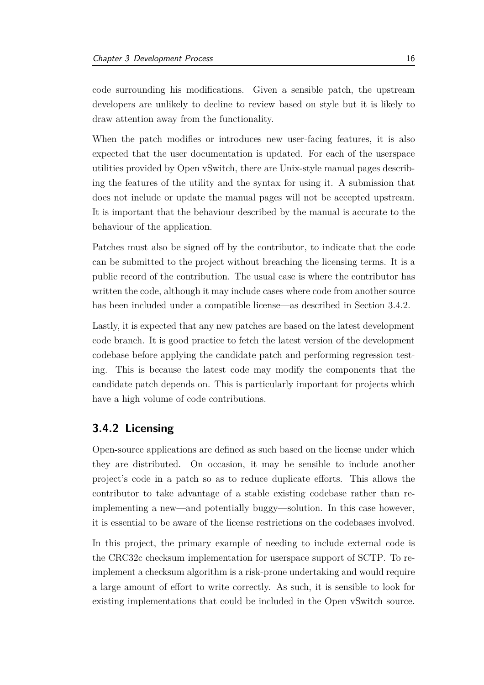code surrounding his modifications. Given a sensible patch, the upstream developers are unlikely to decline to review based on style but it is likely to draw attention away from the functionality.

When the patch modifies or introduces new user-facing features, it is also expected that the user documentation is updated. For each of the userspace utilities provided by Open vSwitch, there are Unix-style manual pages describing the features of the utility and the syntax for using it. A submission that does not include or update the manual pages will not be accepted upstream. It is important that the behaviour described by the manual is accurate to the behaviour of the application.

Patches must also be signed off by the contributor, to indicate that the code can be submitted to the project without breaching the licensing terms. It is a public record of the contribution. The usual case is where the contributor has written the code, although it may include cases where code from another source has been included under a compatible license—as described in Section [3.4.2.](#page-23-0)

Lastly, it is expected that any new patches are based on the latest development code branch. It is good practice to fetch the latest version of the development codebase before applying the candidate patch and performing regression testing. This is because the latest code may modify the components that the candidate patch depends on. This is particularly important for projects which have a high volume of code contributions.

#### <span id="page-23-0"></span>**3.4.2 Licensing**

Open-source applications are defined as such based on the license under which they are distributed. On occasion, it may be sensible to include another project's code in a patch so as to reduce duplicate efforts. This allows the contributor to take advantage of a stable existing codebase rather than reimplementing a new—and potentially buggy—solution. In this case however, it is essential to be aware of the license restrictions on the codebases involved.

In this project, the primary example of needing to include external code is the CRC32c checksum implementation for userspace support of [SCTP.](#page-5-0) To reimplement a checksum algorithm is a risk-prone undertaking and would require a large amount of effort to write correctly. As such, it is sensible to look for existing implementations that could be included in the Open vSwitch source.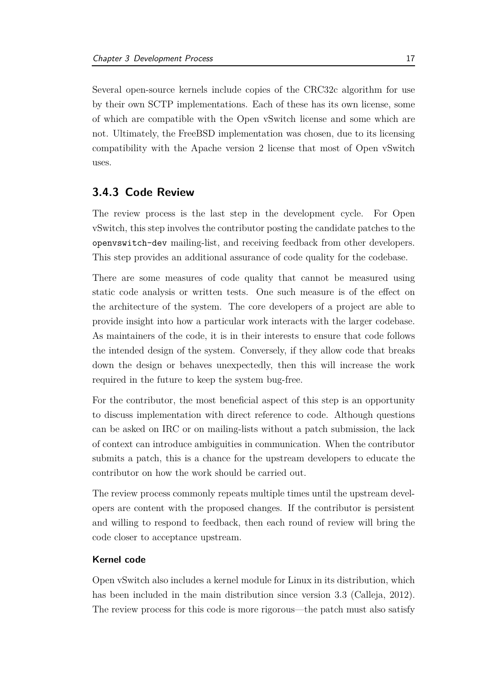Several open-source kernels include copies of the CRC32c algorithm for use by their own [SCTP](#page-5-0) implementations. Each of these has its own license, some of which are compatible with the Open vSwitch license and some which are not. Ultimately, the FreeBSD implementation was chosen, due to its licensing compatibility with the Apache version 2 license that most of Open vSwitch uses.

#### <span id="page-24-0"></span>**3.4.3 Code Review**

The review process is the last step in the development cycle. For Open vSwitch, this step involves the contributor posting the candidate patches to the openvswitch-dev mailing-list, and receiving feedback from other developers. This step provides an additional assurance of code quality for the codebase.

There are some measures of code quality that cannot be measured using static code analysis or written tests. One such measure is of the effect on the architecture of the system. The core developers of a project are able to provide insight into how a particular work interacts with the larger codebase. As maintainers of the code, it is in their interests to ensure that code follows the intended design of the system. Conversely, if they allow code that breaks down the design or behaves unexpectedly, then this will increase the work required in the future to keep the system bug-free.

For the contributor, the most beneficial aspect of this step is an opportunity to discuss implementation with direct reference to code. Although questions can be asked on [IRC](#page-5-8) or on mailing-lists without a patch submission, the lack of context can introduce ambiguities in communication. When the contributor submits a patch, this is a chance for the upstream developers to educate the contributor on how the work should be carried out.

The review process commonly repeats multiple times until the upstream developers are content with the proposed changes. If the contributor is persistent and willing to respond to feedback, then each round of review will bring the code closer to acceptance upstream.

#### **Kernel code**

Open vSwitch also includes a kernel module for Linux in its distribution, which has been included in the main distribution since version 3.3 [\(Calleja](#page-47-8), [2012\)](#page-47-8). The review process for this code is more rigorous—the patch must also satisfy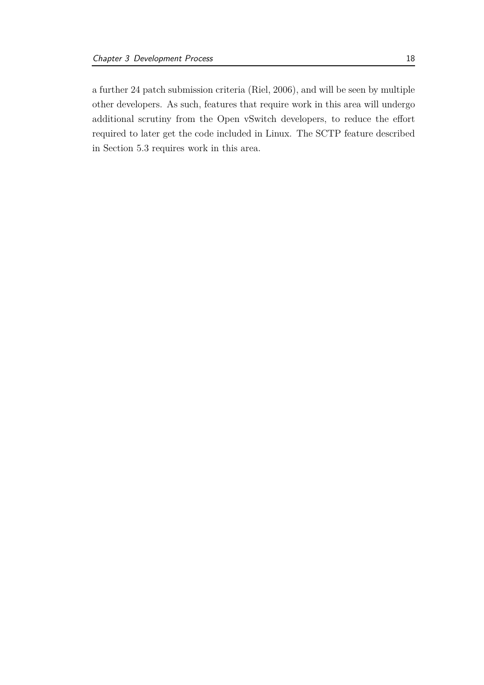a further 24 patch submission criteria [\(Riel, 2006](#page-49-5)), and will be seen by multiple other developers. As such, features that require work in this area will undergo additional scrutiny from the Open vSwitch developers, to reduce the effort required to later get the code included in Linux. The [SCTP](#page-5-0) feature described in Section [5.3](#page-38-0) requires work in this area.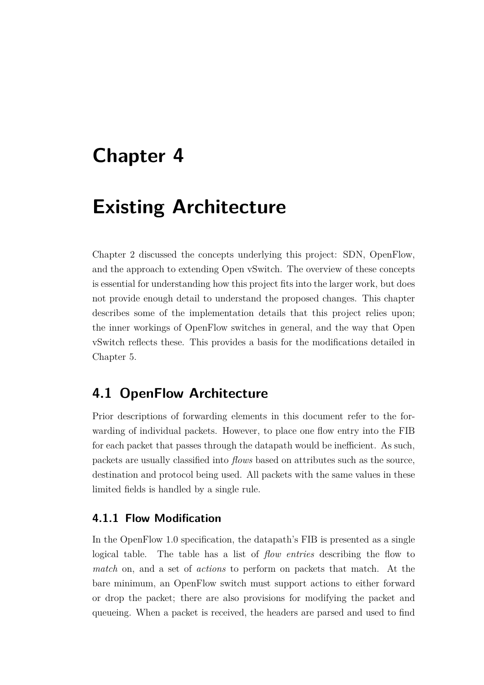## <span id="page-26-0"></span>**Chapter 4**

## **Existing Architecture**

Chapter [2](#page-11-0) discussed the concepts underlying this project: [SDN,](#page-5-2) OpenFlow, and the approach to extending Open vSwitch. The overview of these concepts is essential for understanding how this project fits into the larger work, but does not provide enough detail to understand the proposed changes. This chapter describes some of the implementation details that this project relies upon; the inner workings of OpenFlow switches in general, and the way that Open vSwitch reflects these. This provides a basis for the modifications detailed in Chapter [5.](#page-33-0)

### <span id="page-26-1"></span>**4.1 OpenFlow Architecture**

Prior descriptions of forwarding elements in this document refer to the forwarding of individual packets. However, to place one flow entry into the [FIB](#page-5-3) for each packet that passes through the datapath would be inefficient. As such, packets are usually classified into *flows* based on attributes such as the source, destination and protocol being used. All packets with the same values in these limited fields is handled by a single rule.

#### <span id="page-26-2"></span>**4.1.1 Flow Modification**

In the OpenFlow 1.0 specification, the datapath's [FIB](#page-5-3) is presented as a single logical table. The table has a list of *flow entries* describing the flow to *match* on, and a set of *actions* to perform on packets that match. At the bare minimum, an OpenFlow switch must support actions to either forward or drop the packet; there are also provisions for modifying the packet and queueing. When a packet is received, the headers are parsed and used to find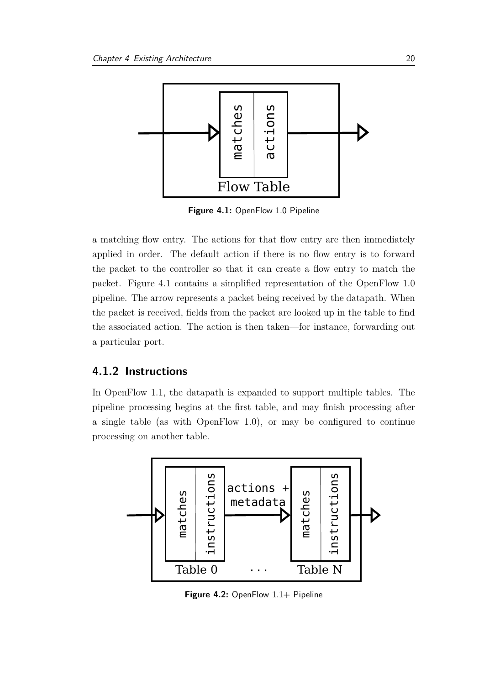<span id="page-27-1"></span>

**Figure 4.1:** OpenFlow 1.0 Pipeline

a matching flow entry. The actions for that flow entry are then immediately applied in order. The default action if there is no flow entry is to forward the packet to the controller so that it can create a flow entry to match the packet. Figure [4.1](#page-27-1) contains a simplified representation of the OpenFlow 1.0 pipeline. The arrow represents a packet being received by the datapath. When the packet is received, fields from the packet are looked up in the table to find the associated action. The action is then taken—for instance, forwarding out a particular port.

#### <span id="page-27-0"></span>**4.1.2 Instructions**

In OpenFlow 1.1, the datapath is expanded to support multiple tables. The pipeline processing begins at the first table, and may finish processing after a single table (as with OpenFlow 1.0), or may be configured to continue processing on another table.

<span id="page-27-2"></span>

Figure 4.2: OpenFlow 1.1+ Pipeline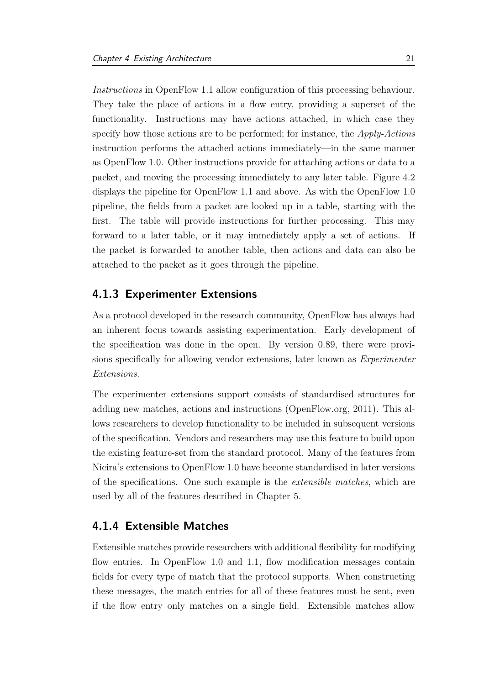*Instructions* in OpenFlow 1.1 allow configuration of this processing behaviour. They take the place of actions in a flow entry, providing a superset of the functionality. Instructions may have actions attached, in which case they specify how those actions are to be performed; for instance, the *Apply-Actions* instruction performs the attached actions immediately—in the same manner as OpenFlow 1.0. Other instructions provide for attaching actions or data to a packet, and moving the processing immediately to any later table. Figure [4.2](#page-27-2) displays the pipeline for OpenFlow 1.1 and above. As with the OpenFlow 1.0 pipeline, the fields from a packet are looked up in a table, starting with the first. The table will provide instructions for further processing. This may forward to a later table, or it may immediately apply a set of actions. If the packet is forwarded to another table, then actions and data can also be attached to the packet as it goes through the pipeline.

#### <span id="page-28-0"></span>**4.1.3 Experimenter Extensions**

As a protocol developed in the research community, OpenFlow has always had an inherent focus towards assisting experimentation. Early development of the specification was done in the open. By version 0.89, there were provisions specifically for allowing vendor extensions, later known as *Experimenter Extensions*.

The experimenter extensions support consists of standardised structures for adding new matches, actions and instructions [\(OpenFlow.org, 2011\)](#page-49-2). This allows researchers to develop functionality to be included in subsequent versions of the specification. Vendors and researchers may use this feature to build upon the existing feature-set from the standard protocol. Many of the features from Nicira's extensions to OpenFlow 1.0 have become standardised in later versions of the specifications. One such example is the *extensible matches*, which are used by all of the features described in Chapter [5.](#page-33-0)

#### <span id="page-28-1"></span>**4.1.4 Extensible Matches**

Extensible matches provide researchers with additional flexibility for modifying flow entries. In OpenFlow 1.0 and 1.1, flow modification messages contain fields for every type of match that the protocol supports. When constructing these messages, the match entries for all of these features must be sent, even if the flow entry only matches on a single field. Extensible matches allow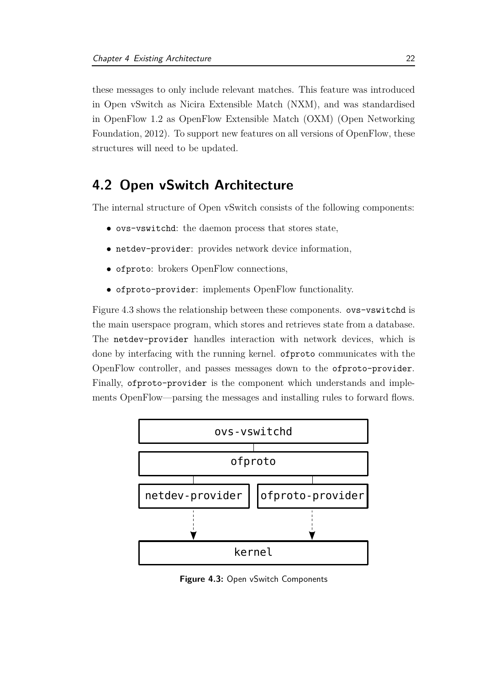these messages to only include relevant matches. This feature was introduced in Open vSwitch as Nicira Extensible Match [\(NXM\)](#page-5-11), and was standardised in OpenFl[ow 1.2 as OpenFlow Extensible Match](#page-48-7) [\(OXM\)](#page-5-12) [\(](#page-48-7)Open Networking Foundation, [2012](#page-48-7)). To support new features on all versions of OpenFlow, these structures will need to be updated.

### <span id="page-29-0"></span>**4.2 Open vSwitch Architecture**

The internal structure of Open vSwitch consists of the following components:

- ovs-vswitchd: the daemon process that stores state,
- netdev-provider: provides network device information,
- ofproto: brokers OpenFlow connections,
- ofproto-provider: implements OpenFlow functionality.

Figure [4.3](#page-29-1) shows the relationship between these components. ovs-vswitchd is the main userspace program, which stores and retrieves state from a database. The netdev-provider handles interaction with network devices, which is done by interfacing with the running kernel. ofproto communicates with the OpenFlow controller, and passes messages down to the ofproto-provider. Finally, ofproto-provider is the component which understands and implements OpenFlow—parsing the messages and installing rules to forward flows.

<span id="page-29-1"></span>

**Figure 4.3:** Open vSwitch Components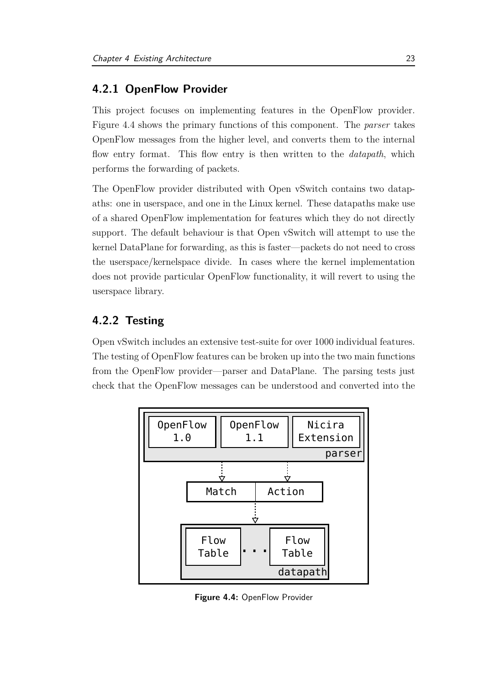#### <span id="page-30-0"></span>**4.2.1 OpenFlow Provider**

This project focuses on implementing features in the OpenFlow provider. Figure [4.4](#page-30-2) shows the primary functions of this component. The *parser* takes OpenFlow messages from the higher level, and converts them to the internal flow entry format. This flow entry is then written to the *datapath*, which performs the forwarding of packets.

The OpenFlow provider distributed with Open vSwitch contains two datapaths: one in userspace, and one in the Linux kernel. These datapaths make use of a shared OpenFlow implementation for features which they do not directly support. The default behaviour is that Open vSwitch will attempt to use the kernel DataPlane for forwarding, as this is faster—packets do not need to cross the userspace/kernelspace divide. In cases where the kernel implementation does not provide particular OpenFlow functionality, it will revert to using the userspace library.

#### <span id="page-30-1"></span>**4.2.2 Testing**

Open vSwitch includes an extensive test-suite for over 1000 individual features. The testing of OpenFlow features can be broken up into the two main functions from the OpenFlow provider—parser and DataPlane. The parsing tests just check that the OpenFlow messages can be understood and converted into the

<span id="page-30-2"></span>

**Figure 4.4:** OpenFlow Provider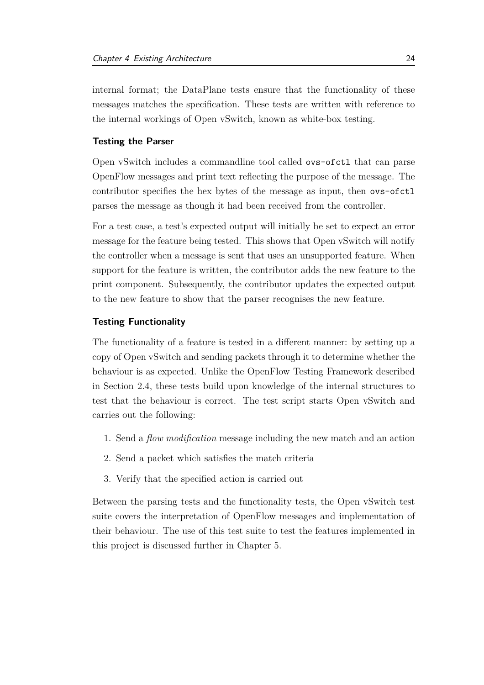internal format; the DataPlane tests ensure that the functionality of these messages matches the specification. These tests are written with reference to the internal workings of Open vSwitch, known as white-box testing.

#### <span id="page-31-0"></span>**Testing the Parser**

Open vSwitch includes a commandline tool called ovs-ofctl that can parse OpenFlow messages and print text reflecting the purpose of the message. The contributor specifies the hex bytes of the message as input, then ovs-ofctl parses the message as though it had been received from the controller.

For a test case, a test's expected output will initially be set to expect an error message for the feature being tested. This shows that Open vSwitch will notify the controller when a message is sent that uses an unsupported feature. When support for the feature is written, the contributor adds the new feature to the print component. Subsequently, the contributor updates the expected output to the new feature to show that the parser recognises the new feature.

#### **Testing Functionality**

The functionality of a feature is tested in a different manner: by setting up a copy of Open vSwitch and sending packets through it to determine whether the behaviour is as expected. Unlike the OpenFlow Testing Framework described in Section [2.4,](#page-14-1) these tests build upon knowledge of the internal structures to test that the behaviour is correct. The test script starts Open vSwitch and carries out the following:

- 1. Send a *flow modification* message including the new match and an action
- 2. Send a packet which satisfies the match criteria
- 3. Verify that the specified action is carried out

Between the parsing tests and the functionality tests, the Open vSwitch test suite covers the interpretation of OpenFlow messages and implementation of their behaviour. The use of this test suite to test the features implemented in this project is discussed further in Chapter [5.](#page-33-0)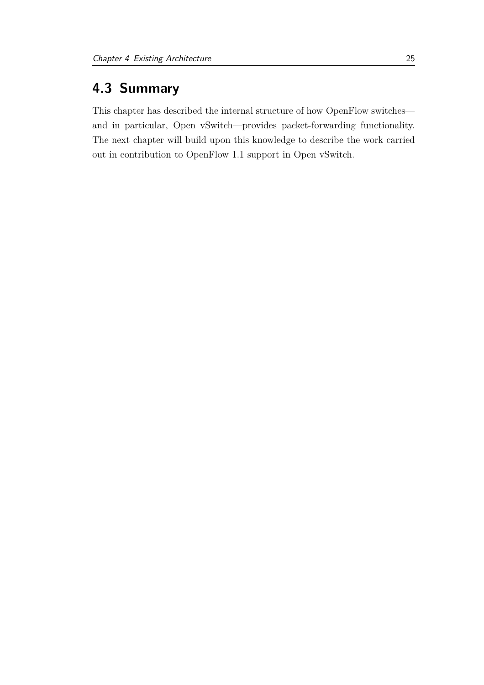## <span id="page-32-0"></span>**4.3 Summary**

This chapter has described the internal structure of how OpenFlow switches and in particular, Open vSwitch—provides packet-forwarding functionality. The next chapter will build upon this knowledge to describe the work carried out in contribution to OpenFlow 1.1 support in Open vSwitch.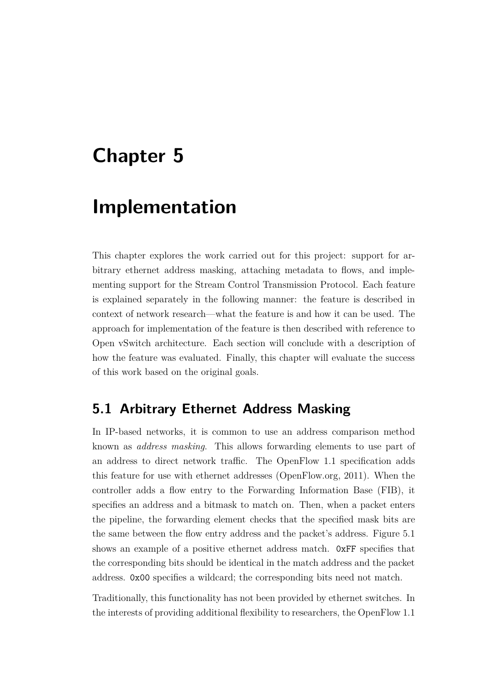## <span id="page-33-0"></span>**Chapter 5**

## **Implementation**

This chapter explores the work carried out for this project: support for arbitrary ethernet address masking, attaching metadata to flows, and implementing support for the Stream Control Transmission Protocol. Each feature is explained separately in the following manner: the feature is described in context of network research—what the feature is and how it can be used. The approach for implementation of the feature is then described with reference to Open vSwitch architecture. Each section will conclude with a description of how the feature was evaluated. Finally, this chapter will evaluate the success of this work based on the original goals.

### <span id="page-33-1"></span>**5.1 Arbitrary Ethernet Address Masking**

In IP-based networks, it is common to use an address comparison method known as *address masking*. This allows forwarding elements to use part of an address to direct network traffic. The OpenFlow 1.1 specification adds this feature for use with ethernet addresses [\(OpenFlow.org, 2011](#page-49-2)). When the controller adds a flow entry to the Forwarding Information Base [\(FIB\)](#page-5-3), it specifies an address and a bitmask to match on. Then, when a packet enters the pipeline, the forwarding element checks that the specified mask bits are the same between the flow entry address and the packet's address. Figure [5.1](#page-34-0) shows an example of a positive ethernet address match. 0xFF specifies that the corresponding bits should be identical in the match address and the packet address. 0x00 specifies a wildcard; the corresponding bits need not match.

Traditionally, this functionality has not been provided by ethernet switches. In the interests of providing additional flexibility to researchers, the OpenFlow 1.1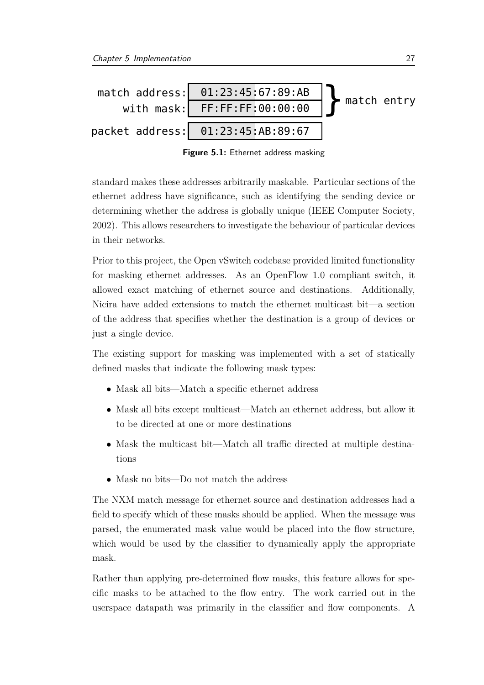<span id="page-34-0"></span>

**Figure 5.1:** Ethernet address masking

standard makes these addresses arbitrarily maskable. Particular sections of the ethernet address have significance, such as identifying the sending device or determining whether the address is globally unique [\(IEEE Computer Society,](#page-48-8) [2002\)](#page-48-8). This allows researchers to investigate the behaviour of particular devices in their networks.

Prior to this project, the Open vSwitch codebase provided limited functionality for masking ethernet addresses. As an OpenFlow 1.0 compliant switch, it allowed exact matching of ethernet source and destinations. Additionally, Nicira have added extensions to match the ethernet multicast bit—a section of the address that specifies whether the destination is a group of devices or just a single device.

The existing support for masking was implemented with a set of statically defined masks that indicate the following mask types:

- Mask all bits—Match a specific ethernet address
- Mask all bits except multicast—Match an ethernet address, but allow it to be directed at one or more destinations
- Mask the multicast bit—Match all traffic directed at multiple destinations
- Mask no bits—Do not match the address

The [NXM](#page-5-11) match message for ethernet source and destination addresses had a field to specify which of these masks should be applied. When the message was parsed, the enumerated mask value would be placed into the flow structure, which would be used by the classifier to dynamically apply the appropriate mask.

Rather than applying pre-determined flow masks, this feature allows for specific masks to be attached to the flow entry. The work carried out in the userspace datapath was primarily in the classifier and flow components. A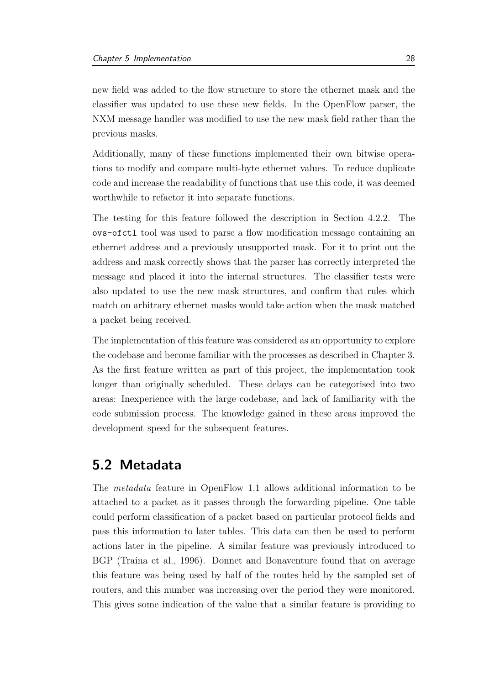new field was added to the flow structure to store the ethernet mask and the classifier was updated to use these new fields. In the OpenFlow parser, the [NXM](#page-5-11) message handler was modified to use the new mask field rather than the previous masks.

Additionally, many of these functions implemented their own bitwise operations to modify and compare multi-byte ethernet values. To reduce duplicate code and increase the readability of functions that use this code, it was deemed worthwhile to refactor it into separate functions.

The testing for this feature followed the description in Section [4.2.2.](#page-31-0) The ovs-ofctl tool was used to parse a flow modification message containing an ethernet address and a previously unsupported mask. For it to print out the address and mask correctly shows that the parser has correctly interpreted the message and placed it into the internal structures. The classifier tests were also updated to use the new mask structures, and confirm that rules which match on arbitrary ethernet masks would take action when the mask matched a packet being received.

The implementation of this feature was considered as an opportunity to explore the codebase and become familiar with the processes as described in Chapter [3.](#page-16-0) As the first feature written as part of this project, the implementation took longer than originally scheduled. These delays can be categorised into two areas: Inexperience with the large codebase, and lack of familiarity with the code submission process. The knowledge gained in these areas improved the development speed for the subsequent features.

### <span id="page-35-0"></span>**5.2 Metadata**

The *metadata* feature in OpenFlow 1.1 allows additional information to be attached to a packet as it passes through the forwarding pipeline. One table could perform classification of a packet based on particular protocol fields and pass this information to later tables. This data can then be used to perform actions later in the pipeline. A similar feature was previously introduced to BGP [\(Traina et al.](#page-49-6), [1996\)](#page-49-6). [Donnet and Bonaventure](#page-47-9) found that on average this feature was being used by half of the routes held by the sampled set of routers, and this number was increasing over the period they were monitored. This gives some indication of the value that a similar feature is providing to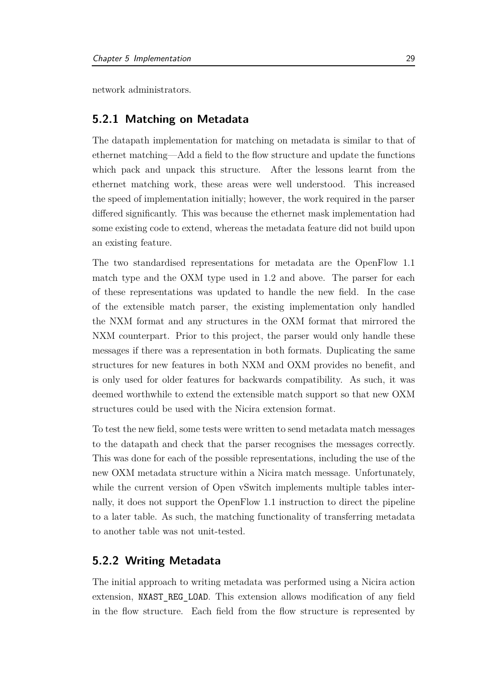<span id="page-36-0"></span>network administrators.

#### **5.2.1 Matching on Metadata**

The datapath implementation for matching on metadata is similar to that of ethernet matching—Add a field to the flow structure and update the functions which pack and unpack this structure. After the lessons learnt from the ethernet matching work, these areas were well understood. This increased the speed of implementation initially; however, the work required in the parser differed significantly. This was because the ethernet mask implementation had some existing code to extend, whereas the metadata feature did not build upon an existing feature.

The two standardised representations for metadata are the OpenFlow 1.1 match type and the [OXM](#page-5-12) type used in 1.2 and above. The parser for each of these representations was updated to handle the new field. In the case of the extensible match parser, the existing implementation only handled the [NXM](#page-5-11) format and any structures in the [OXM](#page-5-12) format that mirrored the [NXM](#page-5-11) counterpart. Prior to this project, the parser would only handle these messages if there was a representation in both formats. Duplicating the same structures for new features in both [NXM](#page-5-11) and [OXM](#page-5-12) provides no benefit, and is only used for older features for backwards compatibility. As such, it was deemed worthwhile to extend the extensible match support so that new [OXM](#page-5-12) structures could be used with the Nicira extension format.

To test the new field, some tests were written to send metadata match messages to the datapath and check that the parser recognises the messages correctly. This was done for each of the possible representations, including the use of the new [OXM](#page-5-12) metadata structure within a Nicira match message. Unfortunately, while the current version of Open vSwitch implements multiple tables internally, it does not support the OpenFlow 1.1 instruction to direct the pipeline to a later table. As such, the matching functionality of transferring metadata to another table was not unit-tested.

#### <span id="page-36-1"></span>**5.2.2 Writing Metadata**

The initial approach to writing metadata was performed using a Nicira action extension, NXAST REG LOAD. This extension allows modification of any field in the flow structure. Each field from the flow structure is represented by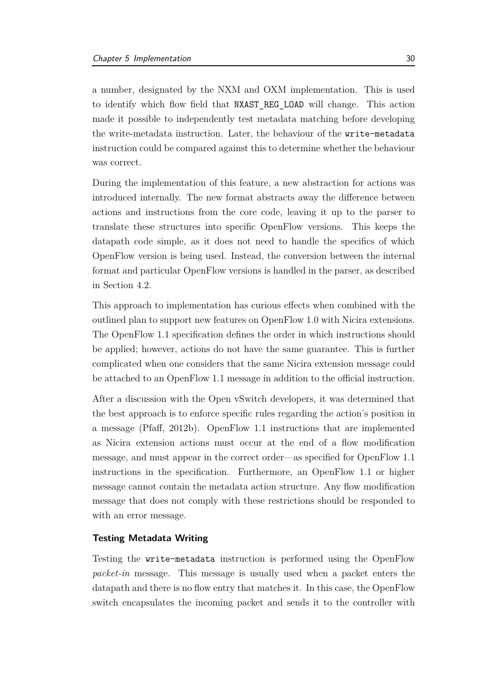a number, designated by the [NXM](#page-5-11) and [OXM](#page-5-12) implementation. This is used to identify which flow field that NXAST\_REG\_LOAD will change. This action made it possible to independently test metadata matching before developing the write-metadata instruction. Later, the behaviour of the write-metadata instruction could be compared against this to determine whether the behaviour was correct.

During the implementation of this feature, a new abstraction for actions was introduced internally. The new format abstracts away the difference between actions and instructions from the core code, leaving it up to the parser to translate these structures into specific OpenFlow versions. This keeps the datapath code simple, as it does not need to handle the specifics of which OpenFlow version is being used. Instead, the conversion between the internal format and particular OpenFlow versions is handled in the parser, as described in Section [4.2.](#page-29-0)

This approach to implementation has curious effects when combined with the outlined plan to support new features on OpenFlow 1.0 with Nicira extensions. The OpenFlow 1.1 specification defines the order in which instructions should be applied; however, actions do not have the same guarantee. This is further complicated when one considers that the same Nicira extension message could be attached to an OpenFlow 1.1 message in addition to the official instruction.

After a discussion with the Open vSwitch developers, it was determined that the best approach is to enforce specific rules regarding the action's position in a message [\(Pfaff](#page-49-7), [2012b\)](#page-49-7). OpenFlow 1.1 instructions that are implemented as Nicira extension actions must occur at the end of a flow modification message, and must appear in the correct order—as specified for OpenFlow 1.1 instructions in the specification. Furthermore, an OpenFlow 1.1 or higher message cannot contain the metadata action structure. Any flow modification message that does not comply with these restrictions should be responded to with an error message.

#### **Testing Metadata Writing**

Testing the write-metadata instruction is performed using the OpenFlow *packet-in* message. This message is usually used when a packet enters the datapath and there is no flow entry that matches it. In this case, the OpenFlow switch encapsulates the incoming packet and sends it to the controller with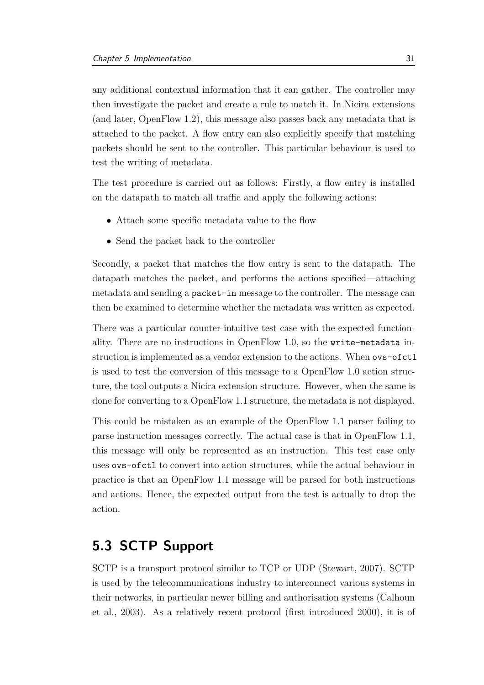any additional contextual information that it can gather. The controller may then investigate the packet and create a rule to match it. In Nicira extensions (and later, OpenFlow 1.2), this message also passes back any metadata that is attached to the packet. A flow entry can also explicitly specify that matching packets should be sent to the controller. This particular behaviour is used to test the writing of metadata.

The test procedure is carried out as follows: Firstly, a flow entry is installed on the datapath to match all traffic and apply the following actions:

- Attach some specific metadata value to the flow
- Send the packet back to the controller

Secondly, a packet that matches the flow entry is sent to the datapath. The datapath matches the packet, and performs the actions specified—attaching metadata and sending a packet-in message to the controller. The message can then be examined to determine whether the metadata was written as expected.

There was a particular counter-intuitive test case with the expected functionality. There are no instructions in OpenFlow 1.0, so the write-metadata instruction is implemented as a vendor extension to the actions. When ovs-ofctl is used to test the conversion of this message to a OpenFlow 1.0 action structure, the tool outputs a Nicira extension structure. However, when the same is done for converting to a OpenFlow 1.1 structure, the metadata is not displayed.

This could be mistaken as an example of the OpenFlow 1.1 parser failing to parse instruction messages correctly. The actual case is that in OpenFlow 1.1, this message will only be represented as an instruction. This test case only uses ovs-ofctl to convert into action structures, while the actual behaviour in practice is that an OpenFlow 1.1 message will be parsed for both instructions and actions. Hence, the expected output from the test is actually to drop the action.

### <span id="page-38-0"></span>**5.3 [SCTP](#page-5-0) Support**

[SCTP](#page-5-0) is a transport protocol similar to TCP or UDP [\(Stewart](#page-49-8), [2007\)](#page-49-8). [SCTP](#page-5-0) is used by the telecommunications industry to interconnect various systems in their [networks, in particular newer billing and authorisation systems \(](#page-47-10)Calhoun et al., [2003\)](#page-47-10). As a relatively recent protocol (first introduced 2000), it is of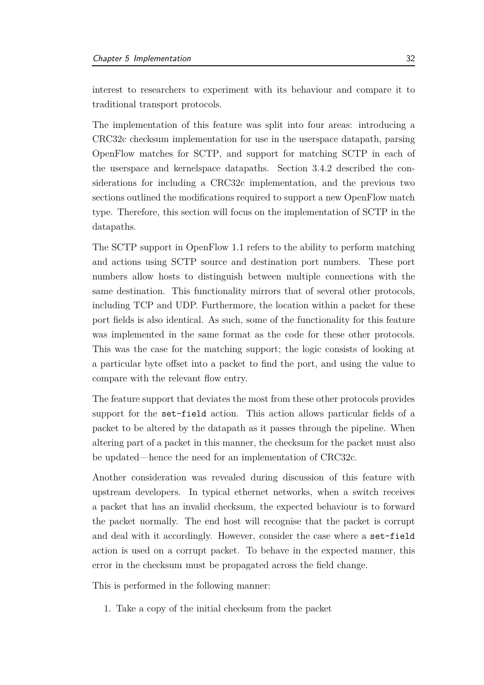interest to researchers to experiment with its behaviour and compare it to traditional transport protocols.

The implementation of this feature was split into four areas: introducing a CRC32c checksum implementation for use in the userspace datapath, parsing OpenFlow matches for [SCTP,](#page-5-0) and support for matching [SCTP](#page-5-0) in each of the userspace and kernelspace datapaths. Section [3.4.2](#page-23-0) described the considerations for including a CRC32c implementation, and the previous two sections outlined the modifications required to support a new OpenFlow match type. Therefore, this section will focus on the implementation of [SCTP](#page-5-0) in the datapaths.

The [SCTP](#page-5-0) support in OpenFlow 1.1 refers to the ability to perform matching and actions using [SCTP](#page-5-0) source and destination port numbers. These port numbers allow hosts to distinguish between multiple connections with the same destination. This functionality mirrors that of several other protocols, including TCP and UDP. Furthermore, the location within a packet for these port fields is also identical. As such, some of the functionality for this feature was implemented in the same format as the code for these other protocols. This was the case for the matching support; the logic consists of looking at a particular byte offset into a packet to find the port, and using the value to compare with the relevant flow entry.

The feature support that deviates the most from these other protocols provides support for the set-field action. This action allows particular fields of a packet to be altered by the datapath as it passes through the pipeline. When altering part of a packet in this manner, the checksum for the packet must also be updated—hence the need for an implementation of CRC32c.

Another consideration was revealed during discussion of this feature with upstream developers. In typical ethernet networks, when a switch receives a packet that has an invalid checksum, the expected behaviour is to forward the packet normally. The end host will recognise that the packet is corrupt and deal with it accordingly. However, consider the case where a set-field action is used on a corrupt packet. To behave in the expected manner, this error in the checksum must be propagated across the field change.

This is performed in the following manner:

1. Take a copy of the initial checksum from the packet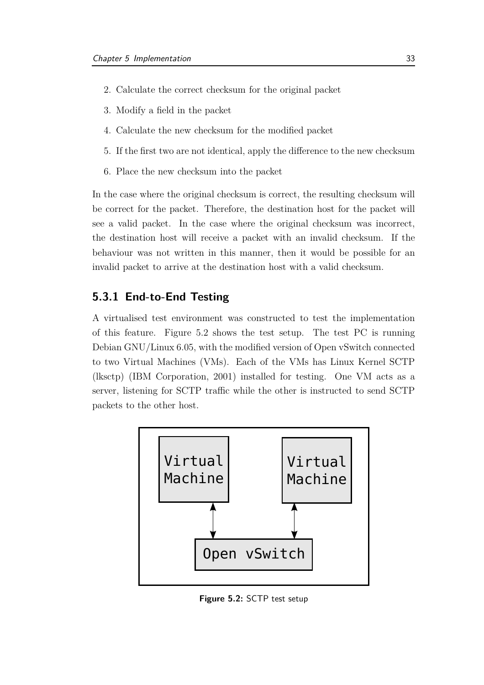- 2. Calculate the correct checksum for the original packet
- 3. Modify a field in the packet
- 4. Calculate the new checksum for the modified packet
- 5. If the first two are not identical, apply the difference to the new checksum
- 6. Place the new checksum into the packet

In the case where the original checksum is correct, the resulting checksum will be correct for the packet. Therefore, the destination host for the packet will see a valid packet. In the case where the original checksum was incorrect, the destination host will receive a packet with an invalid checksum. If the behaviour was not written in this manner, then it would be possible for an invalid packet to arrive at the destination host with a valid checksum.

#### <span id="page-40-0"></span>**5.3.1 End-to-End Testing**

A virtualised test environment was constructed to test the implementation of this feature. Figure [5.2](#page-40-1) shows the test setup. The test PC is running Debian GNU/Linux 6.05, with the modified version of Open vSwitch connected to two Virtual Machines [\(VMs](#page-5-13)). Each of the [VMs](#page-5-13) has Linux Kernel SCTP [\(lksctp\)](#page-5-14) [\(IBM Corporation, 2001\)](#page-48-9) installed for testing. One [VM](#page-5-13) acts as a server, listening for [SCTP](#page-5-0) traffic while the other is instructed to send [SCTP](#page-5-0) packets to the other host.

<span id="page-40-1"></span>

**Figure 5.2:** SCTP test setup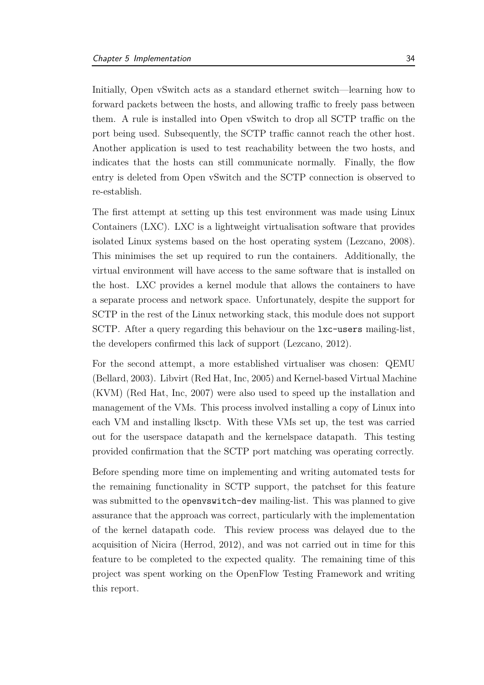Initially, Open vSwitch acts as a standard ethernet switch—learning how to forward packets between the hosts, and allowing traffic to freely pass between them. A rule is installed into Open vSwitch to drop all [SCTP](#page-5-0) traffic on the port being used. Subsequently, the [SCTP](#page-5-0) traffic cannot reach the other host. Another application is used to test reachability between the two hosts, and indicates that the hosts can still communicate normally. Finally, the flow entry is deleted from Open vSwitch and the [SCTP](#page-5-0) connection is observed to re-establish.

The first attempt at setting up this test environment was made using Linux Containers [\(LXC\)](#page-5-15). [LXC](#page-5-15) is a lightweight virtualisation software that provides isolated Linux systems based on the host operating system [\(Lezcano](#page-48-10), [2008\)](#page-48-10). This minimises the set up required to run the containers. Additionally, the virtual environment will have access to the same software that is installed on the host. [LXC](#page-5-15) provides a kernel module that allows the containers to have a separate process and network space. Unfortunately, despite the support for [SCTP](#page-5-0) in the rest of the Linux networking stack, this module does not support [SCTP.](#page-5-0) After a query regarding this behaviour on the lxc-users mailing-list, the developers confirmed this lack of support [\(Lezcano, 2012](#page-48-11)).

For the second attempt, a more established virtualiser was chosen: QEMU [\(Bellard, 2003](#page-47-11)). Libvirt [\(Red Hat, Inc](#page-49-9), [2005\)](#page-49-9) and Kernel-based Virtual Machine [\(KVM\)](#page-5-16) [\(Red Hat, Inc](#page-49-10), [2007](#page-49-10)) were also used to speed up the installation and management of the [VMs](#page-5-13). This process involved installing a copy of Linux into each [VM](#page-5-13) and installing [lksctp.](#page-5-14) With these [VMs](#page-5-13) set up, the test was carried out for the userspace datapath and the kernelspace datapath. This testing provided confirmation that the [SCTP](#page-5-0) port matching was operating correctly.

Before spending more time on implementing and writing automated tests for the remaining functionality in [SCTP](#page-5-0) support, the patchset for this feature was submitted to the openvswitch-dev mailing-list. This was planned to give assurance that the approach was correct, particularly with the implementation of the kernel datapath code. This review process was delayed due to the acquisition of Nicira [\(Herrod, 2012\)](#page-48-2), and was not carried out in time for this feature to be completed to the expected quality. The remaining time of this project was spent working on the OpenFlow Testing Framework and writing this report.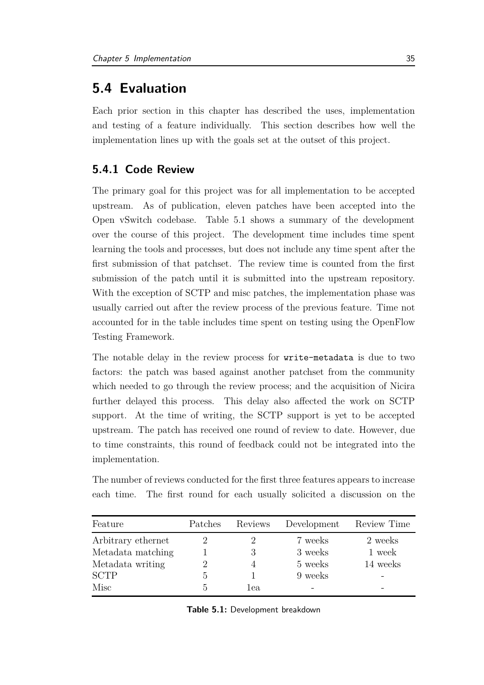### <span id="page-42-0"></span>**5.4 Evaluation**

Each prior section in this chapter has described the uses, implementation and testing of a feature individually. This section describes how well the implementation lines up with the goals set at the outset of this project.

### <span id="page-42-1"></span>**5.4.1 Code Review**

The primary goal for this project was for all implementation to be accepted upstream. As of publication, eleven patches have been accepted into the Open vSwitch codebase. Table [5.1](#page-42-2) shows a summary of the development over the course of this project. The development time includes time spent learning the tools and processes, but does not include any time spent after the first submission of that patchset. The review time is counted from the first submission of the patch until it is submitted into the upstream repository. With the exception of [SCTP](#page-5-0) and misc patches, the implementation phase was usually carried out after the review process of the previous feature. Time not accounted for in the table includes time spent on testing using the OpenFlow Testing Framework.

The notable delay in the review process for write-metadata is due to two factors: the patch was based against another patchset from the community which needed to go through the review process; and the acquisition of Nicira further delayed this process. This delay also affected the work on [SCTP](#page-5-0) support. At the time of writing, the [SCTP](#page-5-0) support is yet to be accepted upstream. The patch has received one round of review to date. However, due to time constraints, this round of feedback could not be integrated into the implementation.

The number of reviews conducted for the first three features appears to increase each time. The first round for each usually solicited a discussion on the

<span id="page-42-2"></span>

| Feature            | Patches         | Reviews | Development | Review Time |
|--------------------|-----------------|---------|-------------|-------------|
| Arbitrary ethernet |                 |         | 7 weeks     | 2 weeks     |
| Metadata matching  |                 |         | 3 weeks     | 1 week      |
| Metadata writing   |                 |         | 5 weeks     | 14 weeks    |
| <b>SCTP</b>        | $\ddot{\Omega}$ |         | 9 weeks     |             |
| Misc               | b.              | 1ea     |             |             |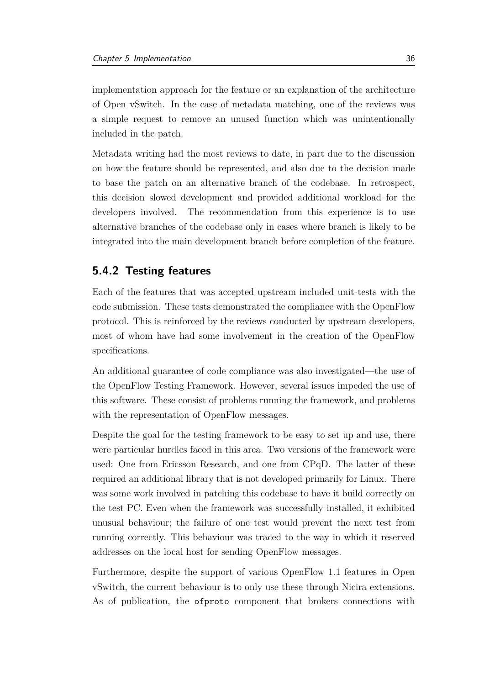implementation approach for the feature or an explanation of the architecture of Open vSwitch. In the case of metadata matching, one of the reviews was a simple request to remove an unused function which was unintentionally included in the patch.

Metadata writing had the most reviews to date, in part due to the discussion on how the feature should be represented, and also due to the decision made to base the patch on an alternative branch of the codebase. In retrospect, this decision slowed development and provided additional workload for the developers involved. The recommendation from this experience is to use alternative branches of the codebase only in cases where branch is likely to be integrated into the main development branch before completion of the feature.

#### <span id="page-43-0"></span>**5.4.2 Testing features**

Each of the features that was accepted upstream included unit-tests with the code submission. These tests demonstrated the compliance with the OpenFlow protocol. This is reinforced by the reviews conducted by upstream developers, most of whom have had some involvement in the creation of the OpenFlow specifications.

An additional guarantee of code compliance was also investigated—the use of the OpenFlow Testing Framework. However, several issues impeded the use of this software. These consist of problems running the framework, and problems with the representation of OpenFlow messages.

Despite the goal for the testing framework to be easy to set up and use, there were particular hurdles faced in this area. Two versions of the framework were used: One from Ericsson Research, and one from [CPqD.](#page-5-5) The latter of these required an additional library that is not developed primarily for Linux. There was some work involved in patching this codebase to have it build correctly on the test PC. Even when the framework was successfully installed, it exhibited unusual behaviour; the failure of one test would prevent the next test from running correctly. This behaviour was traced to the way in which it reserved addresses on the local host for sending OpenFlow messages.

Furthermore, despite the support of various OpenFlow 1.1 features in Open vSwitch, the current behaviour is to only use these through Nicira extensions. As of publication, the ofproto component that brokers connections with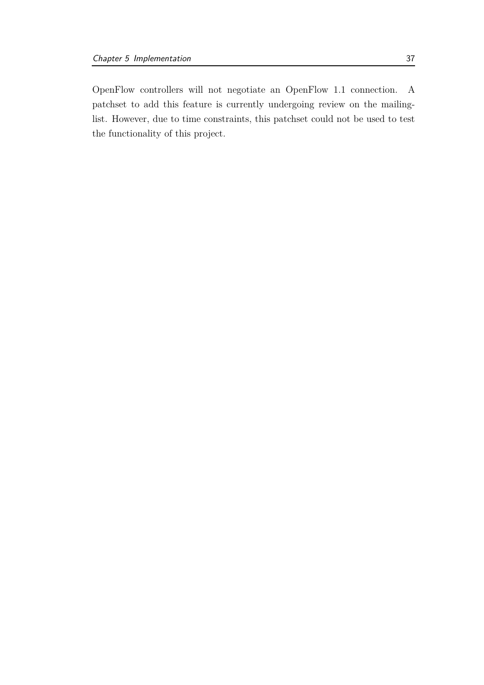OpenFlow controllers will not negotiate an OpenFlow 1.1 connection. A patchset to add this feature is currently undergoing review on the mailinglist. However, due to time constraints, this patchset could not be used to test the functionality of this project.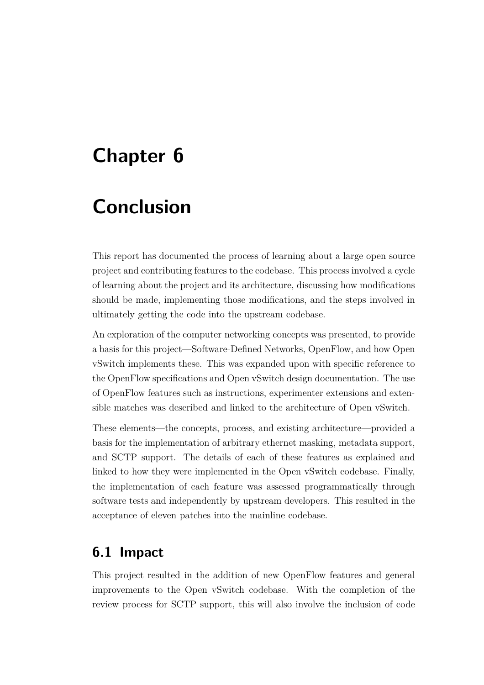## <span id="page-45-0"></span>**Chapter 6**

## **Conclusion**

This report has documented the process of learning about a large open source project and contributing features to the codebase. This process involved a cycle of learning about the project and its architecture, discussing how modifications should be made, implementing those modifications, and the steps involved in ultimately getting the code into the upstream codebase.

An exploration of the computer networking concepts was presented, to provide a basis for this project—Software-Defined Networks, OpenFlow, and how Open vSwitch implements these. This was expanded upon with specific reference to the OpenFlow specifications and Open vSwitch design documentation. The use of OpenFlow features such as instructions, experimenter extensions and extensible matches was described and linked to the architecture of Open vSwitch.

These elements—the concepts, process, and existing architecture—provided a basis for the implementation of arbitrary ethernet masking, metadata support, and [SCTP](#page-5-0) support. The details of each of these features as explained and linked to how they were implemented in the Open vSwitch codebase. Finally, the implementation of each feature was assessed programmatically through software tests and independently by upstream developers. This resulted in the acceptance of eleven patches into the mainline codebase.

### <span id="page-45-1"></span>**6.1 Impact**

This project resulted in the addition of new OpenFlow features and general improvements to the Open vSwitch codebase. With the completion of the review process for [SCTP](#page-5-0) support, this will also involve the inclusion of code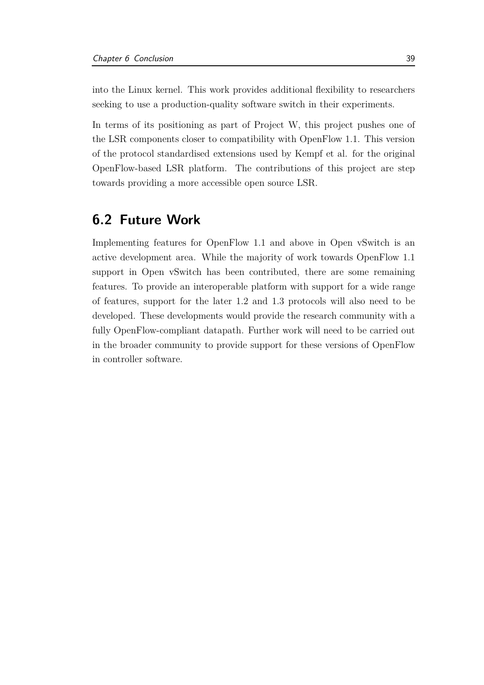into the Linux kernel. This work provides additional flexibility to researchers seeking to use a production-quality software switch in their experiments.

In terms of its positioning as part of Project W, this project pushes one of the [LSR](#page-5-1) components closer to compatibility with OpenFlow 1.1. This version of the protocol standardised extensions used by [Kempf et al.](#page-48-3) for the original OpenFlow-based [LSR](#page-5-1) platform. The contributions of this project are step towards providing a more accessible open source [LSR.](#page-5-1)

### <span id="page-46-0"></span>**6.2 Future Work**

Implementing features for OpenFlow 1.1 and above in Open vSwitch is an active development area. While the majority of work towards OpenFlow 1.1 support in Open vSwitch has been contributed, there are some remaining features. To provide an interoperable platform with support for a wide range of features, support for the later 1.2 and 1.3 protocols will also need to be developed. These developments would provide the research community with a fully OpenFlow-compliant datapath. Further work will need to be carried out in the broader community to provide support for these versions of OpenFlow in controller software.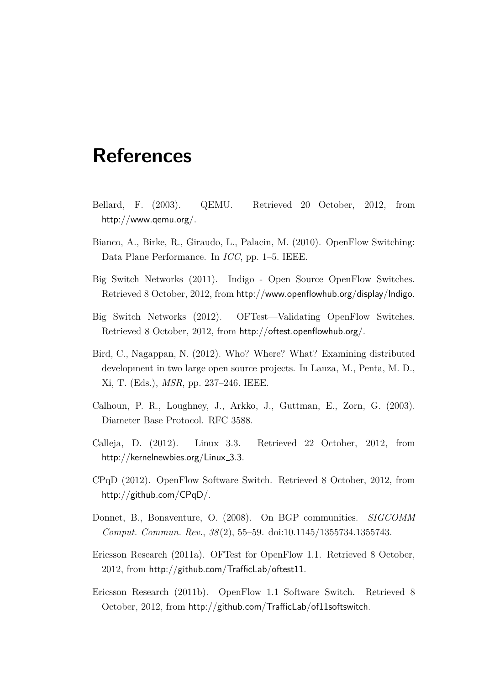## **References**

- <span id="page-47-11"></span><span id="page-47-0"></span>Bellard, F. (2003). QEMU. Retrieved 20 October, 2012, from <http://www.qemu.org/>.
- <span id="page-47-2"></span>Bianco, A., Birke, R., Giraudo, L., Palacin, M. (2010). OpenFlow Switching: Data Plane Performance. In *ICC*, pp. 1–5. IEEE.
- <span id="page-47-3"></span>Big Switch Networks (2011). Indigo - Open Source OpenFlow Switches. Retrieved 8 October, 2012, from <http://www.openflowhub.org/display/Indigo>.
- <span id="page-47-6"></span>Big Switch Networks (2012). OFTest—Validating OpenFlow Switches. Retrieved 8 October, 2012, from <http://oftest.openflowhub.org/>.
- <span id="page-47-7"></span>Bird, C., Nagappan, N. (2012). Who? Where? What? Examining distributed development in two large open source projects. In Lanza, M., Penta, M. D., Xi, T. (Eds.), *MSR*, pp. 237–246. IEEE.
- <span id="page-47-10"></span>Calhoun, P. R., Loughney, J., Arkko, J., Guttman, E., Zorn, G. (2003). Diameter Base Protocol. RFC 3588.
- <span id="page-47-8"></span>Calleja, D. (2012). Linux 3.3. Retrieved 22 October, 2012, from [http://kernelnewbies.org/Linux](http://kernelnewbies.org/Linux_3.3)\_3.3.
- <span id="page-47-5"></span>[CPqD](#page-5-5) (2012). OpenFlow Software Switch. Retrieved 8 October, 2012, from <http://github.com/CPqD/>.
- <span id="page-47-9"></span>Donnet, B., Bonaventure, O. (2008). On BGP communities. *SIGCOMM Comput. Commun. Rev.*, *38* (2), 55–59. doi:10.1145/1355734.1355743.
- <span id="page-47-1"></span>Ericsson Research (2011a). OFTest for OpenFlow 1.1. Retrieved 8 October, 2012, from <http://github.com/TrafficLab/oftest11>.
- <span id="page-47-4"></span>Ericsson Research (2011b). OpenFlow 1.1 Software Switch. Retrieved 8 October, 2012, from <http://github.com/TrafficLab/of11softswitch>.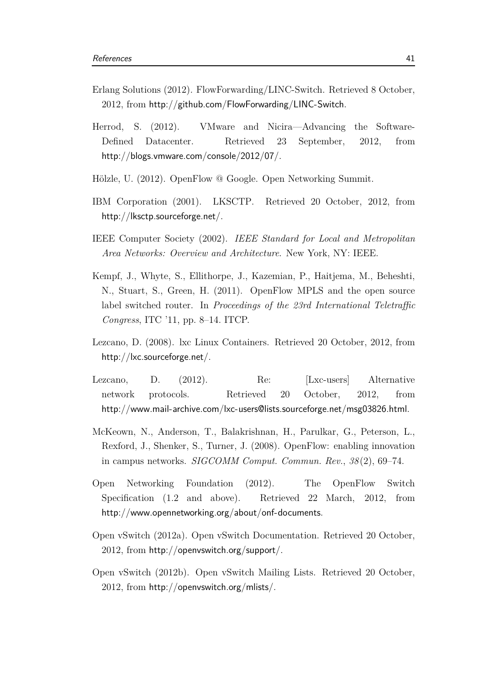- <span id="page-48-4"></span>Erlang Solutions (2012). FlowForwarding/LINC-Switch. Retrieved 8 October, 2012, from <http://github.com/FlowForwarding/LINC-Switch>.
- <span id="page-48-2"></span>Herrod, S. (2012). VMware and Nicira—Advancing the Software-Defined Datacenter. Retrieved 23 September, 2012, from <http://blogs.vmware.com/console/2012/07/>.
- <span id="page-48-1"></span>Hölzle, U. (2012). OpenFlow @ Google. Open Networking Summit.
- <span id="page-48-9"></span>IBM Corporation (2001). LKSCTP. Retrieved 20 October, 2012, from <http://lksctp.sourceforge.net/>.
- <span id="page-48-8"></span>IEEE Computer Society (2002). *IEEE Standard for Local and Metropolitan Area Networks: Overview and Architecture*. New York, NY: IEEE.
- <span id="page-48-3"></span>Kempf, J., Whyte, S., Ellithorpe, J., Kazemian, P., Haitjema, M., Beheshti, N., Stuart, S., Green, H. (2011). OpenFlow MPLS and the open source label switched router. In *Proceedings of the 23rd International Teletraffic Congress*, ITC '11, pp. 8–14. ITCP.
- <span id="page-48-10"></span>Lezcano, D. (2008). lxc Linux Containers. Retrieved 20 October, 2012, from <http://lxc.sourceforge.net/>.
- <span id="page-48-11"></span>Lezcano, D. (2012). Re: [Lxc-users] Alternative network protocols. Retrieved 20 October, 2012, from <http://www.mail-archive.com/lxc-users@lists.sourceforge.net/msg03826.html>.
- <span id="page-48-0"></span>McKeown, N., Anderson, T., Balakrishnan, H., Parulkar, G., Peterson, L., Rexford, J., Shenker, S., Turner, J. (2008). OpenFlow: enabling innovation in campus networks. *SIGCOMM Comput. Commun. Rev.*, *38* (2), 69–74.
- <span id="page-48-7"></span>Open Networking Foundation (2012). The OpenFlow Switch Specification (1.2 and above). Retrieved 22 March, 2012, from <http://www.opennetworking.org/about/onf-documents>.
- <span id="page-48-6"></span>Open vSwitch (2012a). Open vSwitch Documentation. Retrieved 20 October, 2012, from <http://openvswitch.org/support/>.
- <span id="page-48-5"></span>Open vSwitch (2012b). Open vSwitch Mailing Lists. Retrieved 20 October, 2012, from <http://openvswitch.org/mlists/>.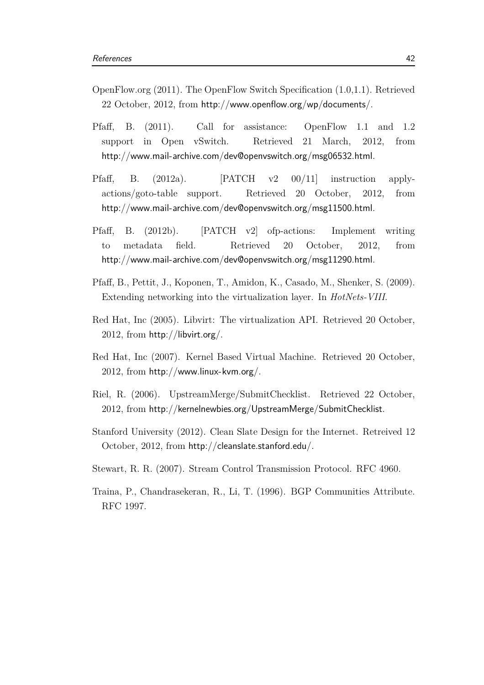- <span id="page-49-2"></span>OpenFlow.org (2011). The OpenFlow Switch Specification (1.0,1.1). Retrieved 22 October, 2012, from <http://www.openflow.org/wp/documents/>.
- <span id="page-49-3"></span>Pfaff, B. (2011). Call for assistance: OpenFlow 1.1 and 1.2 support in Open vSwitch. Retrieved 21 March, 2012, from <http://www.mail-archive.com/dev@openvswitch.org/msg06532.html>.
- <span id="page-49-4"></span>Pfaff, B. (2012a). [PATCH v2 00/11] instruction applyactions/goto-table support. Retrieved 20 October, 2012, from <http://www.mail-archive.com/dev@openvswitch.org/msg11500.html>.
- <span id="page-49-7"></span>Pfaff, B. (2012b). [PATCH v2] ofp-actions: Implement writing to metadata field. Retrieved 20 October, 2012, from <http://www.mail-archive.com/dev@openvswitch.org/msg11290.html>.
- <span id="page-49-1"></span>Pfaff, B., Pettit, J., Koponen, T., Amidon, K., Casado, M., Shenker, S. (2009). Extending networking into the virtualization layer. In *HotNets-VIII*.
- <span id="page-49-9"></span>Red Hat, Inc (2005). Libvirt: The virtualization API. Retrieved 20 October, 2012, from <http://libvirt.org/>.
- <span id="page-49-10"></span>Red Hat, Inc (2007). Kernel Based Virtual Machine. Retrieved 20 October,  $2012$ , from <http://www.linux-kvm.org/>.
- <span id="page-49-5"></span>Riel, R. (2006). UpstreamMerge/SubmitChecklist. Retrieved 22 October, 2012, from <http://kernelnewbies.org/UpstreamMerge/SubmitChecklist>.
- <span id="page-49-0"></span>Stanford University (2012). Clean Slate Design for the Internet. Retreived 12 October, 2012, from <http://cleanslate.stanford.edu/>.
- <span id="page-49-8"></span>Stewart, R. R. (2007). Stream Control Transmission Protocol. RFC 4960.
- <span id="page-49-6"></span>Traina, P., Chandrasekeran, R., Li, T. (1996). BGP Communities Attribute. RFC 1997.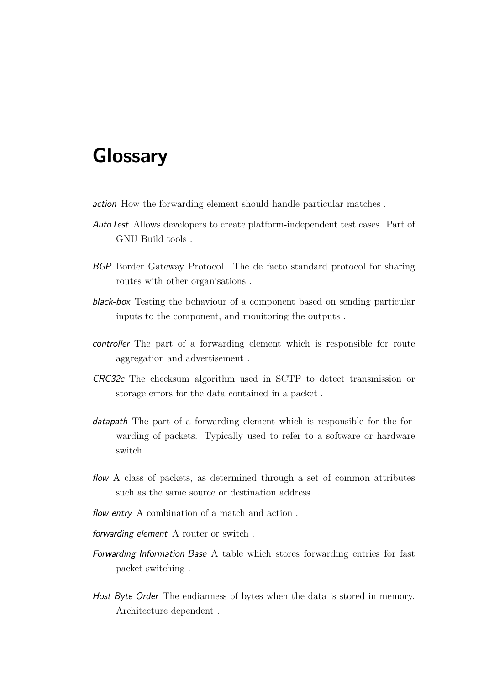## **Glossary**

action How the forwarding element should handle particular matches .

- AutoTest Allows developers to create platform-independent test cases. Part of GNU Build tools .
- BGP Border Gateway Protocol. The de facto standard protocol for sharing routes with other organisations .
- black-box Testing the behaviour of a component based on sending particular inputs to the component, and monitoring the outputs .
- controller The part of a forwarding element which is responsible for route aggregation and advertisement .
- CRC32c The checksum algorithm used in [SCTP](#page-5-0) to detect transmission or storage errors for the data contained in a packet .
- datapath The part of a forwarding element which is responsible for the forwarding of packets. Typically used to refer to a software or hardware switch .
- flow A class of packets, as determined through a set of common attributes such as the same source or destination address. .
- flow entry A combination of a match and action.
- forwarding element A router or switch .
- Forwarding Information Base A table which stores forwarding entries for fast packet switching .
- Host Byte Order The endianness of bytes when the data is stored in memory. Architecture dependent .